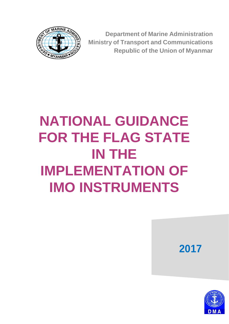

**Department of Marine Administration Ministry of Transport and Communications Republic of the Union of Myanmar**

# **NATIONAL GUIDANCE FOR THE FLAG STATE IN THE IMPLEMENTATION OF IMO INSTRUMENTS**



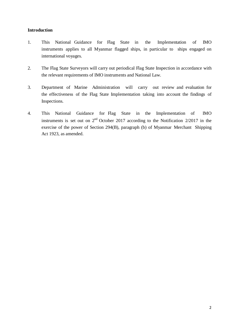#### **Introduction**

- 1. This National Guidance for Flag State in the Implementation of IMO instruments applies to all Myanmar flagged ships, in particular to ships engaged on international voyages.
- 2. The Flag State Surveyors will carry out periodical Flag State Inspection in accordance with the relevant requirements of IMO instruments and National Law.
- 3. Department of Marine Administration will carry out review and evaluation for the effectiveness of the Flag State Implementation taking into account the findings of Inspections.
- 4. This National Guidance for Flag State in the Implementation of IMO instruments is set out on  $2<sup>nd</sup>$  October 2017 according to the Notification 2/2017 in the exercise of the power of Section 294(B), paragraph (b) of Myanmar Merchant Shipping Act 1923, as amended.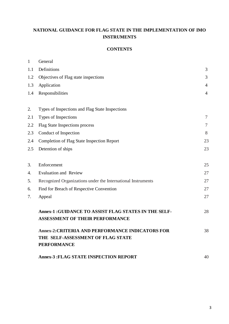# **NATIONAL GUIDANCE FOR FLAG STATE IN THE IMPLEMENTATION OF IMO INSTRUMENTS**

# **CONTENTS**

| $\mathbf{1}$ | General                                                                                  |                |
|--------------|------------------------------------------------------------------------------------------|----------------|
| 1.1          | Definitions                                                                              | 3              |
| 1.2          | Objectives of Flag state inspections                                                     | 3              |
| 1.3          | Application                                                                              | $\overline{4}$ |
| 1.4          | Responsibilities                                                                         | $\overline{4}$ |
| 2.           | Types of Inspections and Flag State Inspections                                          |                |
| 2.1          | Types of Inspections                                                                     | $\tau$         |
| 2.2          | <b>Flag State Inspections process</b>                                                    | 7              |
| 2.3          | Conduct of Inspection                                                                    | 8              |
| 2.4          | <b>Completion of Flag State Inspection Report</b>                                        | 23             |
| 2.5          | Detention of ships                                                                       | 23             |
| 3.           | Enforcement                                                                              | 25             |
| 4.           | <b>Evaluation and Review</b>                                                             | 27             |
| 5.           | Recognized Organizations under the International Instruments                             | 27             |
| 6.           | Find for Breach of Respective Convention                                                 | 27             |
| 7.           | Appeal                                                                                   | 27             |
|              | Annex-1 : GUIDANCE TO ASSIST FLAG STATES IN THE SELF-<br>ASSESSMENT OF THEIR PERFORMANCE | 28             |
|              | <b>Annex-2:CRITERIA AND PERFORMANCE INDICATORS FOR</b>                                   | 38             |
|              | THE SELF-ASSESSMENT OF FLAG STATE                                                        |                |
|              | <b>PERFORMANCE</b>                                                                       |                |
|              | <b>Annex-3: FLAG STATE INSPECTION REPORT</b>                                             | 40             |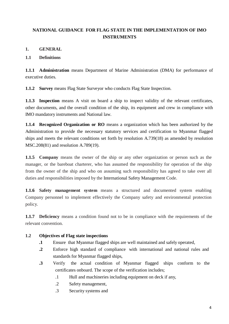# **NATIONAL GUIDANCE FOR FLAG STATE IN THE IMPLEMENTATION OF IMO INSTRUMENTS**

# **1. GENERAL**

# **1.1 Definitions**

**1.1.1 Administration** means Department of Marine Administration (DMA) for performance of executive duties.

**1.1.2 Survey** means Flag State Surveyor who conducts Flag State Inspection.

**1.1.3 Inspection** means A visit on board a ship to inspect validity of the relevant certificates, other documents, and the overall condition of the ship, its equipment and crew in compliance with IMO mandatory instruments and National law.

**1.1.4 Recognized Organization or RO** means a organization which has been authorized by the Administration to provide the necessary statutory services and certification to Myanmar flagged ships and meets the relevant conditions set forth by resolution A.739(18) as amended by resolution MSC.208(81) and resolution A.789(19).

**1.1.5 Company** means the owner of the ship or any other organization or person such as the manager, or the bareboat charterer, who has assumed the responsibility for operation of the ship from the owner of the ship and who on assuming such responsibility has agreed to take over all duties and responsibilities imposed by the International Safety Management Code.

**1.1.6 Safety management system** means a structured and documented system enabling Company personnel to implement effectively the Company safety and environmental protection policy.

**1.1.7 Deficiency** means a condition found not to be in compliance with the requirements of the relevant convention.

# **1.2 Objectives of Flag state inspections**

- **.1** Ensure that Myanmar flagged ships are well maintained and safely operated,
- **.2** Enforce high standard of compliance with international and national rules and standards for Myanmar flagged ships,
- **.3** Verify the actual condition of Myanmar flagged ships conform to the certificates onboard. The scope of the verification includes;
	- .1 Hull and machineries including equipment on deck if any,
	- .2 Safety management,
	- .3 Security systems and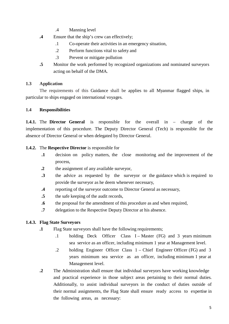- .4 Manning level
- **.4** Ensure that the ship's crew can effectively;
	- .1 Co-operate their activities in an emergency situation,
	- .2 Perform functions vital to safety and
	- .3 Prevent or mitigate pollution
- **.5** Monitor the work performed by recognized organizations and nominated surveyors acting on behalf of the DMA.

# **1.3 Application**

The requirements of this Guidance shall be applies to all Myanmar flagged ships, in particular to ships engaged on international voyages.

# **1.4 Responsibilities**

**1.4.1.** The **Director General** is responsible for the overall in – charge of the implementation of this procedure. The Deputy Director General (Tech) is responsible for the absence of Director General or when delegated by Director General.

# **1.4.2.** The **Respective Director** is responsible for

- **.1** decision on policy matters, the close monitoring and the improvement of the process,
- **.2** the assignment of any available surveyor,
- **.3** the advice as requested by the surveyor or the guidance which is required to provide the surveyor as he deem whenever necessary,
- **.4** reporting of the surveyor outcome to Director General as necessary,
- **.5** the safe keeping of the audit records,
- **.6** the proposal for the amendment of this procedure as and when required,
- **.7** delegation to the Respective Deputy Director at his absence.

# **1.4.3. Flag State Surveyors**

- **.1** Flag State surveyors shall have the following requirements;
	- .1 holding Deck Officer Class I Master (FG) and 3 years minimum sea service as an officer, including minimum 1 year at Management level.
	- .2 holding Engineer Officer Class 1 Chief Engineer Officer (FG) and 3 years minimum sea service as an officer, including minimum 1 year at Management level.
- **.2** The Administration shall ensure that individual surveyors have working knowledge and practical experience in those subject areas pertaining to their normal duties. Additionally, to assist individual surveyors in the conduct of duties outside of their normal assignments, the Flag State shall ensure ready access to expertise in the following areas, as necessary: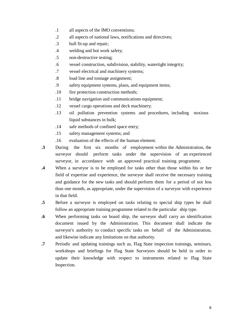- .1 all aspects of the IMO conventions;
- .2 all aspects of national laws, notifications and directives;
- .3 hull fit-up and repair;
- .4 welding and hot work safety;
- .5 non-destructive testing;
- .6 vessel construction, subdivision, stability, watertight integrity;
- .7 vessel electrical and machinery systems;
- .8 load line and tonnage assignment;
- .9 safety equipment systems, plans, and equipment items;
- .10 fire protection construction methods;
- .11 bridge navigation and communications equipment;
- .12 vessel cargo operations and deck machinery;
- .13 oil pollution prevention systems and procedures, including noxious liquid substances in bulk;
- .14 safe methods of confined space entry;
- .15 safety management systems; and
- .16 evaluation of the effects of the human element.
- **.3** During the first six months of employment within the Administration, the surveyor should perform tasks under the supervision of an experienced surveyor, in accordance with an approved practical training programme.
- **.4** When a surveyor is to be employed for tasks other than those within his or her field of expertise and experience, the surveyor shall receive the necessary training and guidance for the new tasks and should perform them for a period of not less than one month, as appropriate, under the supervision of a surveyor with experience in that field.
- **.5** Before a surveyor is employed on tasks relating to special ship types he shall follow an appropriate training programme related to the particular ship type.
- **.6** When performing tasks on board ship, the surveyor shall carry an identification document issued by the Administration. This document shall indicate the surveyor's authority to conduct specific tasks on behalf of the Administration, and likewise indicate any limitations on that authority.
- **.7** Periodic and updating trainings such as, Flag State inspection trainings, seminars, workshops and briefings for Flag State Surveyors should be held in order to update their knowledge with respect to instruments related to Flag State Inspection.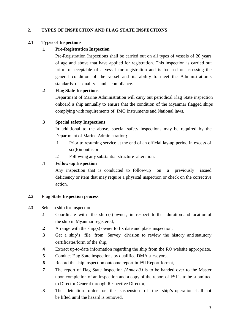# **2. TYPES OF INSPECTION AND FLAG STATE INSPECTIONS**

# **2.1 Types of Inspections**

# **.1 Pre-Registration Inspection**

Pre-Registration Inspections shall be carried out on all types of vessels of 20 years of age and above that have applied for registration. This inspection is carried out prior to acceptable of a vessel for registration and is focused on assessing the general condition of the vessel and its ability to meet the Administration's standards of quality and compliance.

# **.2 Flag State Inspections**

Department of Marine Administration will carry out periodical Flag State inspection onboard a ship annually to ensure that the condition of the Myanmar flagged ships complying with requirements of IMO Instruments and National laws.

# **.3 Special safety Inspections**

In additional to the above, special safety inspections may be required by the Department of Marine Administration**;**

- .1 Prior to resuming service at the end of an official lay-up period in excess of six(6)months or
- .2 Following any substantial structure alteration.

# **.4 Follow-up Inspection**

Any inspection that is conducted to follow-up on a previously issued deficiency or item that may require a physical inspection or check on the corrective action.

# **2.2 Flag State Inspection process**

# **2.3** Select a ship for inspection.

- **.1** Coordinate with the ship (s) owner, in respect to the duration and location of the ship in Myanmar registered,
- **.2** Arrange with the ship(s) owner to fix date and place inspection,
- **.3** Get a ship's file from Survey division to review the history and statutory certificates/form of the ship,
- **.4** Extract up-to-date information regarding the ship from the RO website appropriate,
- **.5** Conduct Flag State inspections by qualified DMA surveyors,
- **.6** Record the ship inspection outcome report in FSI Report format,
- **.7** The report of Flag State Inspection *(Annex-3)* is to be handed over to the Master upon completion of an inspection and a copy of the report of FSI is to be submitted to Director General through Respective Director,
- **.8** The detention order or the suspension of the ship's operation shall not be lifted until the hazard is removed,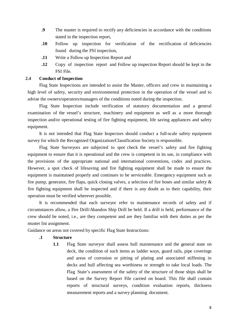- **.9** The master is required to rectify any deficiencies in accordance with the conditions stated in the inspection report,
- **.10** Follow up inspection for verification of the rectification of deficiencies found during the FSI inspection,
- **.11** Write a Follow up Inspection Report and
- **.12** Copy of inspection report and Follow up inspection Report should be kept in the FSI File.

# **2.4 Conduct of Inspection**

Flag State Inspections are intended to assist the Master, officers and crew in maintaining a high level of safety, security and environmental protection in the operation of the vessel and to advise the owners/operators/managers of the conditions noted during the inspection.

Flag State Inspection include verification of statutory documentation and a general examination of the vessel's structure, machinery and equipment as well as a more thorough inspection and/or operational testing of fire fighting equipment, life saving appliances and safety equipment.

It is not intended that Flag State Inspectors should conduct a full-scale safety equipment survey for which the Recognized Organization/Classification Society is responsible.

Flag State Surveyors are subjected to spot check the vessel's safety and fire fighting equipment to ensure that it is operational and the crew is competent in its use, in compliance with the provisions of the appropriate national and international conventions, codes and practices. However, a spot check of lifesaving and fire fighting equipment shall be made to ensure the equipment is maintained properly and continues to be serviceable. Emergency equipment such as fire pump, generator, fire flaps, quick closing valves, a selection of fire hoses and similar safety & fire fighting equipment shall be inspected and if there is any doubt as to their capability, their operation must be verified wherever possible.

It is recommended that each surveyor refer to maintenance records of safety and if circumstances allow, a Fire Drill/Abandon Ship Drill be held. If a drill is held, performance of the crew should be noted, i.e., are they competent and are they familiar with their duties as per the muster list assignment.

Guidance on areas not covered by specific Flag State Instructions:

# **.1 Structure**

**1.1** Flag State surveyor shall assess hull maintenance and the general state on deck, the condition of such items as ladder ways, guard rails, pipe coverings and areas of corrosion or pitting of plating and associated stiffening in decks and hull affecting sea worthiness or strength to take local loads. The Flag State's assessment of the safety of the structure of those ships shall be based on the Survey Report File carried on board. This file shall contain reports of structural surveys, condition evaluation reports, thickness measurement reports and a survey planning document.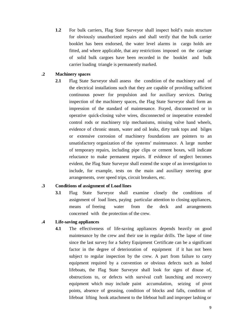**1.2** For bulk carriers, Flag State Surveyor shall inspect hold's main structure for obviously unauthorized repairs and shall verify that the bulk carrier booklet has been endorsed, the water level alarms in cargo holds are fitted, and where applicable, that any restrictions imposed on the carriage of solid bulk cargoes have been recorded in the booklet and bulk carrier loading triangle is permanently marked.

# **.2 Machinery spaces**

**2.1** Flag State Surveyor shall assess the condition of the machinery and of the electrical installations such that they are capable of providing sufficient continuous power for propulsion and for auxiliary services. During inspection of the machinery spaces, the Flag State Surveyor shall form an impression of the standard of maintenance. Frayed, disconnected or in operative quick-closing valve wires, disconnected or inoperative extended control rods or machinery trip mechanisms, missing valve hand wheels, evidence of chronic steam, water and oil leaks, dirty tank tops and bilges or extensive corrosion of machinery foundations are pointers to an unsatisfactory organization of the systems' maintenance. A large number of temporary repairs, including pipe clips or cement boxes, will indicate reluctance to make permanent repairs. If evidence of neglect becomes evident, the Flag State Surveyor shall extend the scope of an investigation to include, for example, tests on the main and auxiliary steering gear arrangements, over speed trips, circuit breakers, etc.

#### **.3 Conditions of assignment of Load lines**

**3.1** Flag State Surveyor shall examine closely the conditions of assignment of load lines, paying particular attention to closing appliances, means of freeing water from the deck and arrangements concerned with the protection of the crew.

# **.4 Life-saving appliances**

**4.1** The effectiveness of life-saving appliances depends heavily on good maintenance by the crew and their use in regular drills. The lapse of time since the last survey for a Safety Equipment Certificate can be a significant factor in the degree of deterioration of equipment if it has not been subject to regular inspection by the crew. A part from failure to carry equipment required by a convention or obvious defects such as holed lifeboats, the Flag State Surveyor shall look for signs of disuse of, obstructions to, or defects with survival craft launching and recovery equipment which may include paint accumulation, seizing of pivot points, absence of greasing, condition of blocks and falls, condition of lifeboat lifting hook attachment to the lifeboat hull and improper lashing or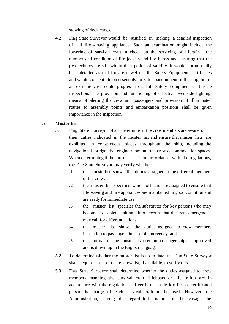stowing of deck cargo.

**4.2** Flag State Surveyor would be justified in making a detailed inspection of all life - saving appliance. Such an examination might include the lowering of survival craft, a check on the servicing of liferafts , the number and condition of life jackets and life buoys and ensuring that the pyrotechnics are still within their period of validity. It would not normally be a detailed as that for are newel of the Safety Equipment Certificates and would concentrate on essentials for safe abandonment of the ship, but in an extreme case could progress to a full Safety Equipment Certificate inspection. The provision and functioning of effective over side lighting, means of alerting the crew and passengers and provision of illuminated routes to assembly points and embarkation positions shall be given importance in the inspection.

#### **.5 Muster list**

- **5.1** Flag State Surveyor shall determine if the crew members are aware of their duties indicated in the muster list and ensure that muster lists are exhibited in conspicuous places throughout the ship, including the navigational bridge, the engine-room and the crew accommodation spaces. When determining if the muster list is in accordance with the regulations, the Flag State Surveyor may verify whether:
	- .1 the musterlist shows the duties assigned to the different members of the crew;
	- .2 the muster list specifies which officers are assigned to ensure that life -saving and fire appliances are maintained in good condition and are ready for immediate use;
	- .3 the muster list specifies the substitutes for key persons who may become disabled, taking into account that different emergencies may call for different actions;
	- .4 the muster list shows the duties assigned to crew members in relation to passengers in case of emergency; and
	- .5 the format of the muster list used on passenger ships is approved and is drawn up in the English language
- **5.2** To determine whether the muster list is up to date, the Flag State Surveyor shall require an up-to-date crew list, if available, to verify this.
- **5.3** Flag State Surveyor shall determine whether the duties assigned to crew members manning the survival craft (lifeboats or life -rafts) are in accordance with the regulation and verify that a deck office or certificated person is charge of each survival craft to be used. However, the Administration, having due regard to the nature of the voyage, the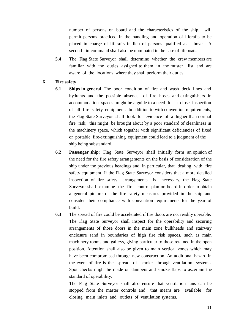number of persons on board and the characteristics of the ship, will permit persons practiced in the handling and operation of liferafts to be placed in charge of liferafts in lieu of persons qualified as above. A second -in-command shall also be nominated in the case of lifeboats.

**5.4** The Flag State Surveyor shall determine whether the crew members are familiar with the duties assigned to them in the muster list and are aware of the locations where they shall perform their duties.

#### **.6 Fire safety**

- **6.1 Ships in general**: The poor condition of fire and wash deck lines and hydrants and the possible absence of fire hoses and extinguishers in accommodation spaces might be a guide to a need for a close inspection of all fire safety equipment. In addition to with convention requirements, the Flag State Surveyor shall look for evidence of a higher than normal fire risk; this might be brought about by a poor standard of cleanliness in the machinery space, which together with significant deficiencies of fixed or portable fire-extinguishing equipment could lead to a judgment of the ship being substandard.
- **6.2 Passenger ship:** Flag State Surveyor shall initially form an opinion of the need for the fire safety arrangements on the basis of consideration of the ship under the previous headings and, in particular, that dealing with fire safety equipment. If the Flag State Surveyor considers that a more detailed inspection of fire safety arrangements is necessary, the Flag State Surveyor shall examine the fire control plan on board in order to obtain a general picture of the fire safety measures provided in the ship and consider their compliance with convention requirements for the year of build.
- **6.3** The spread of fire could be accelerated if fire doors are not readily operable. The Flag State Surveyor shall inspect for the operability and securing arrangements of those doors in the main zone bulkheads and stairway enclosure sand in boundaries of high fire risk spaces, such as main machinery rooms and galleys, giving particular to those retained in the open position. Attention shall also be given to main vertical zones which may have been compromised through new construction. An additional hazard in the event of fire is the spread of smoke through ventilation systems. Spot checks might be made on dampers and smoke flaps to ascertain the standard of operability.

The Flag State Surveyor shall also ensure that ventilation fans can be stopped from the master controls and that means are available for closing main inlets and outlets of ventilation systems.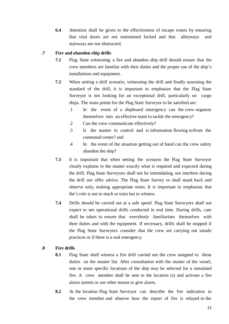**6.4** Attention shall be given to the effectiveness of escape routes by ensuring that vital doors are not maintained locked and that alleyways and stairways are not obstructed.

# **.7 Fire and abandon ship drills**

- **7.1** Flag State witnessing a fire and abandon ship drill should ensure that the crew members are familiar with their duties and the proper use of the ship's installations and equipment.
- **7.2** When setting a drill scenario, witnessing the drill and finally assessing the standard of the drill, it is important to emphasize that the Flag State Surveyor is not looking for an exceptional drill, particularly on cargo ships. The main points for the Flag State Surveyor to be satisfied are:
	- .1 In the event of a shipboard emergency can the crew organize themselves into an effective team to tackle the emergency?
	- .2 Can the crew communicate effectively?
	- .3 Is the master in control and is information flowing to/from the command center? and
	- .4 In the event of the situation getting out of hand can the crew safety abandon the ship?
- **7.3** It is important that when setting the scenario the Flag State Surveyor clearly explains to the master exactly what is required and expected during the drill. Flag State Surveyors shall not be intimidating, not interfere during the drill nor offer advice. The Flag State Survey or shall stand back and observe only, making appropriate notes. It is important to emphasize that the's role is not to teach or train but to witness.
- **7.4** Drills should be carried out at a safe speed. Flag State Surveyors shall not expect to see operational drills conducted in real time. During drills, care shall be taken to ensure that everybody familiarizes themselves with their duties and with the equipment. If necessary, drills shall be stopped if the Flag State Surveyors consider that the crew are carrying out unsafe practices or if there is a real emergency.

# **.8 Fire drills**

- **8.1** Flag State shall witness a fire drill carried out the crew assigned to these duties on the muster list. After consultation with the master of the vessel, one or more specific locations of the ship may be selected for a simulated fire. A crew member shall be sent to the location (s) and activate a fire alarm system or use other means to give alarm.
- **8.2** At the location Flag State Surveyor can describe the fire indication to the crew member and observe how the report of fire is relayed to the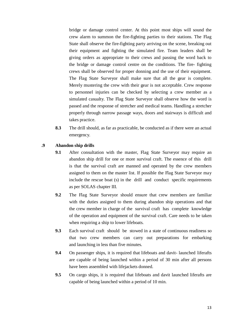bridge or damage control center. At this point most ships will sound the crew alarm to summon the fire-fighting parties to their stations. The Flag State shall observe the fire-fighting party arriving on the scene, breaking out their equipment and fighting the simulated fire. Team leaders shall be giving orders as appropriate to their crews and passing the word back to the bridge or damage control centre on the conditions. The fire- fighting crews shall be observed for proper donning and the use of their equipment. The Flag State Surveyor shall make sure that all the gear is complete. Merely mustering the crew with their gear is not acceptable. Crew response to personnel injuries can be checked by selecting a crew member as a simulated casualty. The Flag State Surveyor shall observe how the word is passed and the response of stretcher and medical teams. Handling a stretcher properly through narrow passage ways, doors and stairways is difficult and takes practice.

**8.3** The drill should, as far as practicable, be conducted as if there were an actual emergency.

# **.9 Abandon ship drills**

- **9.1** After consultation with the master, Flag State Surveyor may require an abandon ship drill for one or more survival craft. The essence of this drill is that the survival craft are manned and operated by the crew members assigned to them on the master list. If possible the Flag State Surveyor may include the rescue boat (s) in the drill and conduct specific requirements as per SOLAS chapter III.
- **9.2** The Flag State Surveyor should ensure that crew members are familiar with the duties assigned to them during abandon ship operations and that the crew member in charge of the survival craft has complete knowledge of the operation and equipment of the survival craft. Care needs to be taken when requiring a ship to lower lifeboats.
- **9.3** Each survival craft should be stowed in a state of continuous readiness so that two crew members can carry out preparations for embarking and launching in less than five minutes.
- **9.4** On passenger ships, it is required that lifeboats and davit- launched liferafts are capable of being launched within a period of 30 min after all persons have been assembled with lifejackets donned.
- **9.5** On cargo ships, it is required that lifeboats and davit launched liferafts are capable of being launched within a period of 10 min.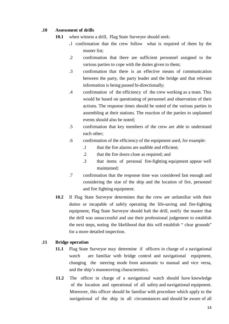#### **.10 Assessment of drills**

- **10.1** when witness a drill, Flag State Surveyor should seek:
	- **.**1 confirmation that the crew follow what is required of them by the muster list;
	- .2 confirmation that there are sufficient personnel assigned to the various parties to cope with the duties given to them;
	- .3 confirmation that there is an effective means of communication between the party, the party leader and the bridge and that relevant information is being passed bi-directionally;
	- .4 confirmation of the efficiency of the crew working as a team. This would be based on questioning of personnel and observation of their actions. The response times should be noted of the various parties in assembling at their stations. The reaction of the parties to unplanned events should also be noted;
	- .5 confirmation that key members of the crew are able to understand each other;
	- .6 confirmation of the efficiency of the equipment used, for example:
		- .1 that the fire alarms are audible and efficient;
		- .2 that the fire doors close as required; and
		- .3 that items of personal fire-fighting equipment appear well maintained;
	- .7 confirmation that the response time was considered fast enough and considering the size of the ship and the location of fire, personnel and fire fighting equipment.
- **10.2** If Flag State Surveyor determines that the crew are unfamiliar with their duties or incapable of safely operating the life-saving and fire-fighting equipment, Flag State Surveyor should halt the drill, notify the master that the drill was unsuccessful and use their professional judgement to establish the next steps, noting the likelihood that this will establish " clear grounds" for a more detailed inspection.

# **.11 Bridge operation**

- **11.1** Flag State Surveyor may determine if officers in charge of a navigational watch are familiar with bridge control and navigational equipment, changing the steering mode from automatic to manual and vice versa, and the ship's manoeuvring characteristics.
- **11.2** The officer in charge of a navigational watch should have knowledge of the location and operational of all safety and navigational equipment. Moreover, this officer should be familiar with procedure which apply to the navigational of the ship in all circumstances and should be aware of all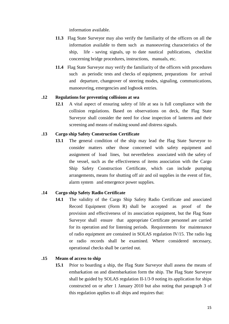information available.

- **11.3** Flag State Surveyor may also verify the familiarity of the officers on all the information available to them such as manoeuvring characteristics of the ship, life - saving signals, up to date nautical publications, checklist concerning bridge procedures, instructions, manuals, etc.
- **11.4** Flag State Surveyor may verify the familiarity of the officers with procedures such as periodic tests and checks of equipment, preparations for arrival and departure, changeover of steering modes, signaling, communications, manoeuvring, emergencies and logbook entries.

#### **.12 Regulations for preventing collisions at sea**

**12.1** A vital aspect of ensuring safety of life at sea is full compliance with the collision regulations. Based on observations on deck, the Flag State Surveyor shall consider the need for close inspection of lanterns and their screening and means of making sound and distress signals.

#### **.13 Cargo ship Safety Construction Certificate**

**13.1** The general condition of the ship may lead the Flag State Surveyor to consider matters other those concerned with safety equipment and assignment of load lines, but nevertheless associated with the safety of the vessel, such as the effectiveness of items association with the Cargo Ship Safety Construction Certificate, which can include pumping arrangements, means for shutting off air and oil supplies in the event of fire, alarm system and emergence power supplies.

# **.14 Cargo ship Safety Radio Certificate**

**14.1** The validity of the Cargo Ship Safety Radio Certificate and associated Record Equipment (Form R) shall be accepted as proof of the provision and effectiveness of its association equipment, but the Flag State Surveyor shall ensure that appropriate Certificate personnel are carried for its operation and for listening periods. Requirements for maintenance of radio equipment are contained in SOLAS regulation IV/15. The radio log or radio records shall be examined. Where considered necessary, operational checks shall be carried out.

#### **.15 Means of access to ship**

**15.1** Prior to boarding a ship, the Flag State Surveyor shall assess the means of embarkation on and disembarkation form the ship. The Flag State Surveyor shall be guided by SOLAS regulation II-1/3-9 noting its application for ships constructed on or after 1 January 2010 but also noting that paragraph 3 of this regulation applies to all ships and requires that: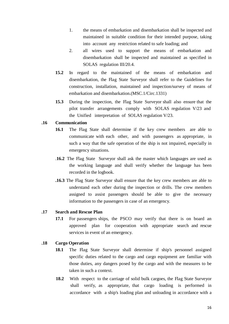- 1. the means of embarkation and disembarkation shall be inspected and maintained in suitable condition for their intended purpose, taking into account any restriction related to safe loading; and
- 2. all wires used to support the means of embarkation and disembarkation shall be inspected and maintained as specified in SOLAS regulation III/20.4.
- **15.2** In regard to the maintained of the means of embarkation and disembarkation, the Flag State Surveyor shall refer to the Guidelines for construction, installation, maintained and inspection/survey of means of embarkation and disembarkation.(MSC.1/Circ.1331)
- **15.3** During the inspection, the Flag State Surveyor shall also ensure that the pilot transfer arrangements comply with SOLAS regulation V/23 and the Unified interpretation of SOLAS regulation V/23.

#### **.16 Communication**

- **16.1** The Flag State shall determine if the key crew members are able to communicate with each other, and with passengers as appropriate, in such a way that the safe operation of the ship is not impaired, especially in emergency situations.
- .**16.2** The Flag State Surveyor shall ask the master which languages are used as the working language and shall verify whether the language has been recorded in the logbook.
- **.16.3** The Flag State Surveyor shall ensure that the key crew members are able to understand each other during the inspection or drills. The crew members assigned to assist passengers should be able to give the necessary information to the passengers in case of an emergency.

#### **.17 Search and Rescue Plan**

**17.1** For passengers ships, the PSCO may verify that there is on board an approved plan for cooperation with appropriate search and rescue services in event of an emergency.

# **.18 Cargo Operation**

- **18.1** The Flag State Surveyor shall determine if ship's personnel assigned specific duties related to the cargo and cargo equipment are familiar with those duties, any dangers posed by the cargo and with the measures to be taken in such a context.
- **18.2** With respect to the carriage of solid bulk cargoes, the Flag State Surveyor shall verify, as appropriate, that cargo loading is performed in accordance with a ship's loading plan and unloading in accordance with a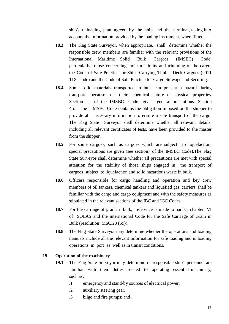ship's unloading plan agreed by the ship and the terminal, taking into account the information provided by the loading instrument, where fitted.

- **18.3** The Flag State Surveyor, when appropriate, shall determine whether the responsible crew members are familiar with the relevant provisions of the International Maritime Solid Bulk Cargoes (IMSBC) Code, particularly those concerning moisture limits and trimming of the cargo, the Code of Safe Practice for Ships Carrying Timber Deck Cargoes (2011 TDC code) and the Code of Safe Practice for Cargo Stowage and Securing.
- **18.4** Some solid materials transported in bulk can present a hazard during transport because of their chemical nature or physical properties. Section 2 of the IMSBC Code gives general precautions. Section 4 of the IMSBC Code contains the obligation imposed on the shipper to provide all necessary information to ensure a safe transport of the cargo. The Flag State Surveyor shall determine whether all relevant details, including all relevant certificates of tests, have been provided to the master from the shipper.
- **18.5** For some cargoes, such as cargoes which are subject to liquefaction, special precautions are given (see section7 of the IMSBC Code).The Flag State Surveyor shall determine whether all precautions are met with special attention for the stability of those ships engaged in the transport of cargoes subject to liquefaction and solid hazardous waste in bulk.
- **18.6** Officers responsible for cargo handling and operation and key crew members of oil tankers, chemical tankers and liquefied gas carriers shall be familiar with the cargo and cargo equipment and with the safety measures as stipulated in the relevant sections of the IBC and IGC Codes.
- **18.7** For the carriage of grail in bulk, reference is made to part C, chapter VI of SOLAS and the international Code for the Safe Carriage of Grain in Bulk (resolution MSC.23 (59)).
- **18.8** The Flag State Surveyor may determine whether the operations and loading manuals include all the relevant information for safe loading and unloading operations in port as well as in transit conditions.

#### **.19 Operation of the machinery**

- **19.1** The Flag State Surveyor may determine if responsible ship's personnel are familiar with their duties related to operating essential machinery, such as:
	- .1 emergency and stand-by sources of electrical power,
	- .2 auxiliary steering gear,
	- .3 bilge and fire pumps; and .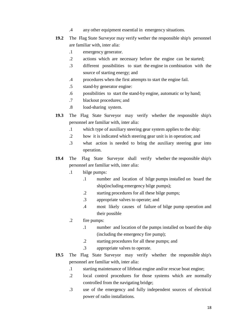- .4 any other equipment essential in emergency situations.
- **19.2** The Flag State Surveyor may verify wether the responsible ship's personnel are familiar with, inter alia:
	- .1 emergency generator.
	- .2 actions which are necessary before the engine can be started;
	- .3 different possibilities to start the engine in combination with the source of starting energy; and
	- .4 procedures when the first attempts to start the engine fail.
	- .5 stand-by generator engine:
	- .6 possibilities to start the stand-by engine, automatic or by hand;
	- .7 blackout procedures; and
	- .8 load-sharing system.
- **19.3** The Flag State Surveyor may verify whether the responsible ship's personnel are familiar with, inter alia:
	- .1 which type of auxiliary steering gear system applies to the ship:
	- .2 how it is indicated which steering gear unit is in operation; and
	- .3 what action is needed to bring the auxiliary steering gear into operation.
- **19.4** The Flag State Surveyor shall verify whether the responsible ship's personnel are familiar with, inter alia:
	- .1 bilge pumps:
		- .1 number and location of bilge pumps installed on board the ship(including emergency bilge pumps);
		- .2 starting procedures for all these bilge pumps;
		- .3 appropriate valves to operate; and
		- .4 most likely causes of failure of bilge pump operation and their possible
	- .2 fire pumps:
		- .1 number and location of the pumps installed on board the ship (including the emergency fire pump);
		- .2 starting procedures for all these pumps; and
		- .3 appropriate valves to operate.
- **19.5** The Flag State Surveyor may verify whether the responsible ship's personnel are familiar with, inter alia:
	- .1 starting maintenance of lifeboat engine and/or rescue boat engine;
	- .2 local control procedures for those systems which are normally controlled from the navigating bridge;
	- .3 use of the emergency and fully independent sources of electrical power of radio installations.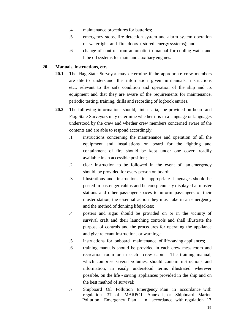- .4 maintenance procedures for batteries;
- .5 emergency stops, fire detection system and alarm system operation of watertight and fire doors ( stored energy systems); and
- .6 change of control from automatic to manual for cooling water and lube oil systems for main and auxiliary engines.

# **.20 Manuals, instructions, etc.**

- **20.1** The Flag State Surveyor may determine if the appropriate crew members are able to understand the information given in manuals, instructions etc., relevant to the safe condition and operation of the ship and its equipment and that they are aware of the requirements for maintenance, periodic testing, training, drills and recording of logbook entries.
- **20.2** The following information should, inter alia, be provided on board and Flag State Surveyors may determine whether it is in a language or languages understood by the crew and whether crew members concerned aware of the contents and are able to respond accordingly:
	- .1 instructions concerning the maintenance and operation of all the equipment and installations on board for the fighting and containment of fire should be kept under one cover, readily available in an accessible position;
	- .2 clear instruction to be followed in the event of an emergency should be provided for every person on board;
	- .3 illustrations and instructions in appropriate languages should be posted in passenger cabins and be conspicuously displayed at muster stations and other passenger spaces to inform passengers of their muster station, the essential action they must take in an emergency and the method of donning lifejackets;
	- .4 posters and signs should be provided on or in the vicinity of survival craft and their launching controls and shall illustrate the purpose of controls and the procedures for operating the appliance and give relevant instructions or warnings;
	- .5 instructions for onboard maintenance of life-saving appliances;
	- .6 training manuals should be provided in each crew mess room and recreation room or in each crew cabin. The training manual, which comprise several volumes, should contain instructions and information, in easily understood terms illustrated wherever possible, on the life - saving appliances provided in the ship and on the best method of survival;
	- .7 Shipboard Oil Pollution Emergency Plan in accordance with regulation 37 of MARPOL Annex I, or Shipboard Marine Pollution Emergency Plan in accordance with regulation 17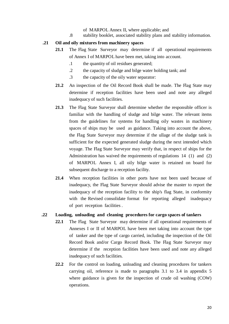- of MARPOL Annex II, where applicable; and
- .8 stability booklet, associated stability plans and stability information.

#### **.21 Oil and oily mixtures from machinery spaces**

- **21.1** The Flag State Surveyor may determine if all operational requirements of Annex I of MARPOL have been met, taking into account.
	- .1 the quantity of oil residues generated;
	- .2 the capacity of sludge and bilge water holding tank; and
	- .3 the capacity of the oily water separator:
- **21.2** An inspection of the Oil Record Book shall be made. The Flag State may determine if reception facilities have been used and note any alleged inadequacy of such facilities.
- **21.3** The Flag State Surveyor shall determine whether the responsible officer is familiar with the handling of sludge and bilge water. The relevant items from the guidelines for systems for handling oily wastes in machinery spaces of ships may be used as guidance. Taking into account the above, the Flag State Surveyor may determine if the ullage of the sludge tank is sufficient for the expected generated sludge during the next intended which voyage. The Flag State Surveyor may verify that, in respect of ships for the Administration has waived the requirements of regulations 14 (1) and (2) of MARPOL Annex I, all oily bilge water is retained on board for subsequent discharge to a reception facility.
- **21.4** When reception facilities in other ports have not been used because of inadequacy, the Flag State Surveyor should advise the master to report the inadequacy of the reception facility to the ship's flag State, in conformity with the Revised consolidate format for reporting alleged inadequacy of port reception facilities .

#### **.22 Loading, unloading and cleaning procedures for cargo spaces of tankers**

- **22.1** The Flag State Surveyor may determine if all operational requirements of Annexes I or II of MARPOL have been met taking into account the type of tanker and the type of cargo carried, including the inspection of the Oil Record Book and/or Cargo Record Book. The Flag State Surveyor may determine if the reception facilities have been used and note any alleged inadequacy of such facilities.
- **22.2** For the control on loading, unloading and cleaning procedures for tankers carrying oil, reference is made to paragraphs 3.1 to 3.4 in appendix 5 where guidance is given for the inspection of crude oil washing (COW) operations.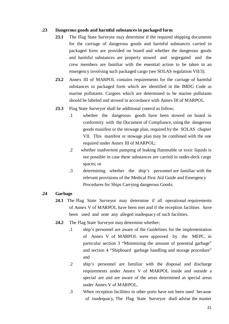#### **.23 Dangerous goods and harmful substances in packaged form**

- 23.1 The Flag State Surveyor may determine if the required shipping documents for the carriage of dangerous goods and harmful substances carried in packaged form are provided on board and whether the dangerous goods and harmful substances are properly stowed and segregated and the crew members are familiar with the essential action to be taken in an emergency involving such packaged cargo (see SOLAS regulation VII/3).
- **23.2** Annex III of MARPOL contains requirements for the carriage of harmful substances in packaged form which are identified in the IMDG Code as marine pollutants. Cargoes which are determined to be marine pollutants should be labeled and stowed in accordance with Annex III of MARPOL.
- **23.3** Flag State Surveyor shall be additional control as follow;
	- .1 whether the dangerous goods have been stowed on board in conformity with the Document of Compliance, using the dangerous goods manifest or the stowage plan, required by the SOLAS chapter VII. This manifest or stowage plan may be combined with the one required under Annex III of MARPOL;
	- .2 whether inadvertent pumping of leaking flammable or toxic liquids is not possible in case these substances are carried in under-deck cargo spaces; or
	- .3 determining whether the ship's personnel are familiar with the relevant provisions of the Medical First Aid Guide and Emergency Procedures for Ships Carrying dangerous Goods.

# **.24 Garbage**

- **24.1** The Flag State Surveyor may determine if all operational requirements of Annex V of MARPOL have been met and if the reception facilities have been used and note any alleged inadequacy of such facilities.
- **24.2** The Flag State Surveyor may determine whether;
	- .1 ship's personnel are aware of the Guidelines for the implementation of Annex V of MARPOL were approved by the MEPC, in particular section 3 "Minimizing the amount of potential garbage" and section 4 "Shipboard garbage handling and storage procedure" and
	- .2 ship's personnel are familiar with the disposal and discharge requirements under Annex V of MARPOL inside and outside a special are and are aware of the areas determined as special areas under Annex V of MARPOL.
	- .3 When reception facilities in other ports have not been used because of inadequacy, The Flag State Surveyor shall advise the master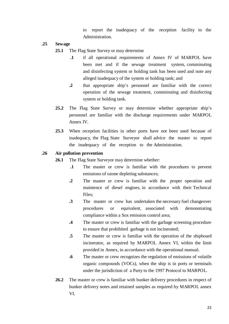to report the inadequacy of the reception facility to the Administration.

- **.25 Sewage**
	- **25.1** The Flag State Survey or may determine
		- **.1** if all operational requirements of Annex IV of MARPOL have been met and if the sewage treatment system, comminuting and disinfecting system or holding tank has been used and note any alleged inadequacy of the system or holding tank; and
		- **.2** that appropriate ship's personnel are familiar with the correct operation of the sewage treatment, comminuting and disinfecting system or holding tank.
	- **25.2** The Flag State Survey or may determine whether appropriate ship's personnel are familiar with the discharge requirements under MARPOL Annex IV.
	- **25.3** When reception facilities in other ports have not been used because of inadequacy, the Flag State Surveyor shall advice the master to report the inadequacy of the reception to the Administration.

#### **.26 Air pollution prevention**

- **26.1** The Flag State Surveyor may determine whether:
	- **.1** The master or crew is familiar with the procedures to prevent emissions of ozone depleting substances;
	- **.2** The master or crew is familiar with the proper operation and maintence of diesel engines, in accordance with their Technical Files;
	- **.3** The master or crew has undertaken the necessary fuel changeover procedures or equivalent, associated with demonstrating compliance within a Sox emission control area;
	- **.4** The master or crew is familiar with the garbage screening procedure to ensure that prohibited garbage is not incinerated;
	- **.5** The master or crew is familiar with the operation of the shipboard incinerator, as required by MARPOL Annex VI, within the limit provided in Annex, in accordance with the operational manual;
	- **.6** The master or crew recognizes the regulation of emissions of volatile organic compounds (VOCs), when the ship is in ports or terminals under the jurisdiction of a Party to the 1997 Protocol to MARPOL.
- **26.2** The master or crew is familiar with bunker delivery procedures in respect of bunker delivery notes and retained samples as required by MARPOL annex VI.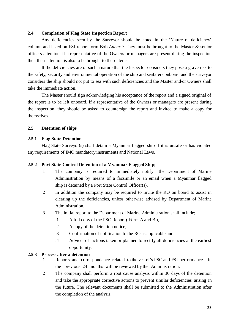#### **2.4 Completion of Flag State Inspection Report**

Any deficiencies seen by the Surveyor should be noted in the 'Nature of deficiency' column and listed on FSI report form Bob *Annex 3.*They must be brought to the Master & senior officers attention. If a representative of the Owners or managers are present during the inspection then their attention is also to be brought to these items.

If the deficiencies are of such a nature that the Inspector considers they pose a grave risk to the safety, security and environmental operation of the ship and seafarers onboard and the surveyor considers the ship should not put to sea with such deficiencies and the Master and/or Owners shall take the immediate action.

The Master should sign acknowledging his acceptance of the report and a signed original of the report is to be left onboard. If a representative of the Owners or managers are present during the inspection, they should be asked to countersign the report and invited to make a copy for themselves.

#### **2.5 Detention of ships**

#### **2.5.1 Flag State Detention**

Flag State Surveyor(s) shall detain a Myanmar flagged ship if it is unsafe or has violated any requirements of IMO mandatory instruments and National Laws.

#### **2.5.2 Port State Control Detention of a Myanmar Flagged Ship;**

- .1 The company is required to immediately notify the Department of Marine Administration by means of a facsimile or an email when a Myanmar flagged ship is detained by a Port State Control Officer(s).
- .2 In addition the company may be required to invite the RO on board to assist in clearing up the deficiencies, unless otherwise advised by Department of Marine Administration.
- .3 The initial report to the Department of Marine Administration shall include;
	- .1 A full copy of the PSC Report ( Form A and B ),
	- .2 A copy of the detention notice,
	- .3 Confirmation of notification to the RO as applicable and
	- .4 Advice of actions taken or planned to rectify all deficiencies at the earliest opportunity.

# **2.5.3 Process after a detention**

- .1 Reports and correspondence related to the vessel's PSC and FSI performance in the previous 24 months will be reviewed by the Administration.
- .2 The company shall perform a root cause analysis within 30 days of the detention and take the appropriate corrective actions to prevent similar deficiencies arising in the future. The relevant documents shall be submitted to the Administration after the completion of the analysis.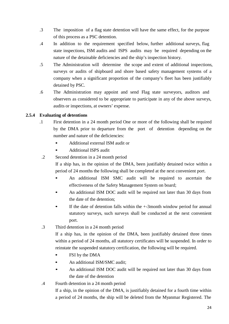- .3 The imposition of a flag state detention will have the same effect, for the purpose of this process as a PSC detention.
- .4 In addition to the requirement specified below, further additional surveys, flag state inspections, ISM audits and ISPS audits may be required depending on the nature of the detainable deficiencies and the ship's inspection history.
- .5 The Administration will determine the scope and extent of additional inspections, surveys or audits of shipboard and shore based safety management systems of a company when a significant proportion of the company's fleet has been justifiably detained by PSC.
- .6 The Administration may appoint and send Flag state surveyors, auditors and observers as considered to be appropriate to participate in any of the above surveys, audits or inspections, at owners' expense.

# **2.5.4 Evaluating of detentions**

- .1 First detention in a 24 month period One or more of the following shall be required by the DMA prior to departure from the port of detention depending on the number and nature of the deficiencies:
	- Additional external ISM audit or
	- Additional ISPS audit
- .2 Second detention in a 24 month period

If a ship has, in the opinion of the DMA, been justifiably detained twice within a period of 24 months the following shall be completed at the next convenient port.

- An additional ISM SMC audit will be required to ascertain the effectiveness of the Safety Management System on board;
- An additional ISM DOC audit will be required not later than 30 days from the date of the detention;
- If the date of detention falls within the  $+3$ month window period for annual statutory surveys, such surveys shall be conducted at the next convenient port.
- .3 Third detention in a 24 month period

If a ship has, in the opinion of the DMA, been justifiably detained three times within a period of 24 months, all statutory certificates will be suspended. In order to reinstate the suspended statutory certification, the following will be required.

- FSI by the DMA
- An additional ISM/SMC audit;
- An additional ISM DOC audit will be required not later than 30 days from the date of the detention
- .4 Fourth detention in a 24 month period

If a ship, in the opinion of the DMA, is justifiably detained for a fourth time within a period of 24 months, the ship will be deleted from the Myanmar Registered. The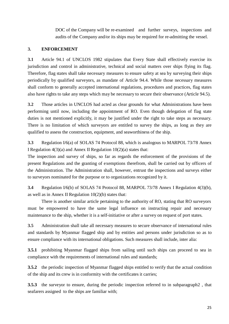DOC of the Company will be re-examined and further surveys, inspections and audits of the Company and/or its ships may be required for re-admitting the vessel.

# **3. ENFORCEMENT**

**3.1** Article 94.1 of UNCLOS 1982 stipulates that Every State shall effectively exercise its jurisdiction and control in administrative, technical and social matters over ships flying its flag. Therefore, flag states shall take necessary measures to ensure safety at sea by surveying their ships periodically by qualified surveyors, as mandate of Article 94.4. While those necessary measures shall conform to generally accepted international regulations, procedures and practices, flag states also have rights to take any steps which may be necessary to secure their observance (Article 94.5).

**3.2** Those articles in UNCLOS had acted as clear grounds for what Administrations have been performing until now, including the appointment of RO. Even though delegation of flag state duties is not mentioned explicitly, it may be justified under the right to take steps as necessary. There is no limitation of which surveyors are entitled to survey the ships, as long as they are qualified to assess the construction, equipment, and seaworthiness of the ship.

**3.3** Regulation I/6(a) of SOLAS 74 Protocol 88, which is analogous to MARPOL 73/78 Annex I Regulation  $4(3)(a)$  and Annex II Regulation  $10(2)(a)$  states that:

The inspection and survey of ships, so far as regards the enforcement of the provisions of the present Regulations and the granting of exemptions therefrom, shall be carried out by officers of the Administration. The Administration shall, however, entrust the inspections and surveys either to surveyors nominated for the purpose or to organizations recognized by it.

**3.4** Regulation I/6(b) of SOLAS 74 Protocol 88, MARPOL 73/78 Annex I Regulation 4(3)(b), as well as in Annex II Regulation  $10(2)(b)$  states that:

There is another similar article pertaining to the authority of RO, stating that RO surveyors must be empowered to have the same legal influence on instructing repair and necessary maintenance to the ship, whether it is a self-initiative or after a survey on request of port states.

**3.5** Administration shall take all necessary measures to secure observance of international rules and standards by Myanmar flagged ship and by entities and persons under jurisdiction so as to ensure compliance with its international obligations. Such measures shall include, inter alia:

**3.5.1** prohibiting Myanmar flagged ships from sailing until such ships can proceed to sea in compliance with the requirements of international rules and standards;

**3.5.2** the periodic inspection of Myanmar flagged ships entitled to verify that the actual condition of the ship and its crew is in conformity with the certificates it carries;

**3.5.3** the surveyor to ensure, during the periodic inspection referred to in subparagraph2 , that seafarers assigned to the ships are familiar with;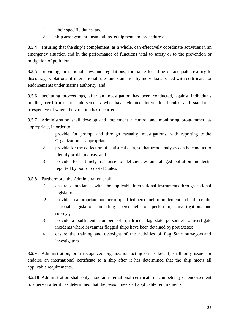- .1 their specific duties; and
- .2 ship arrangement, installations, equipment and procedures;

**3.5.4** ensuring that the ship's complement, as a whole, can effectively coordinate activities in an emergency situation and in the performance of functions vital to safety or to the prevention or mitigation of pollution;

**3.5.5** providing, in national laws and regulations, for liable to a fine of adequate severity to discourage violations of international rules and standards by individuals issued with certificates or endorsements under marine authority: and

**3.5.6** instituting proceedings, after an investigation has been conducted, against individuals holding certificates or endorsements who have violated international rules and standards, irrespective of where the violation has occurred.

**3.5.7** Administration shall develop and implement a control and monitoring programmer, as appropriate, in order to;

- .1 provide for prompt and through casualty investigations, with reporting to the Organization as appropriate;
- .2 provide for the collection of statistical data, so that trend analyses can be conduct to identify problem areas; and
- .3 provide for a timely response to deficiencies and alleged pollution incidents reported by port or coastal States.
- **3.5.8** Furthermore, the Administration shall;
	- .1 ensure compliance with the applicable international instruments through national legislation
	- .2 provide an appropriate number of qualified personnel to implement and enforce the national legislation including personnel for performing investigations and surveys;
	- .3 provide a sufficient number of qualified flag state personnel to investigate incidents where Myanmar flagged ships have been detained by port States;
	- .4 ensure the training and oversight of the activities of flag State surveyors and investigators.

**3.5.9** Administration, or a recognized organization acting on its behalf, shall only issue or endorse an international certificate to a ship after it has determined that the ship meets all applicable requirements.

**3.5.10** Administration shall only issue an international certificate of competency or endorsement to a person after it has determined that the person meets all applicable requirements.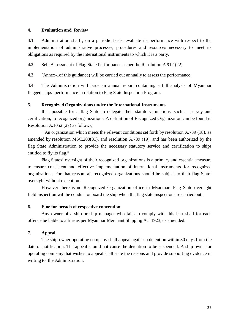#### **4. Evaluation and Review**

**4.1** Administration shall , on a periodic basis, evaluate its performance with respect to the implementation of administrative processes, procedures and resources necessary to meet its obligations as required by the international instruments to which it is a party.

**4.2** Self-Assessment of Flag State Performance as per the Resolution A.912 (22)

**4.3** (Annex-1of this guidance) will be carried out annually to assess the performance.

**4.4** The Administration will issue an annual report containing a full analysis of Myanmar flagged ships' performance in relation to Flag State Inspection Program.

#### **5. Recognized Organizations under the International Instruments**

It is possible for a flag State to delegate their statutory functions, such as survey and certification, to recognized organizations. A definition of Recognized Organization can be found in Resolution A.1052 (27) as follows;

" An organization which meets the relevant conditions set forth by resolution A.739 (18), as amended by resolution MSC.208(81), and resolution A.789 (19), and has been authorized by the flag State Administration to provide the necessary statutory service and certification to ships entitled to fly its flag."

Flag States' oversight of their recognized organizations is a primary and essential measure to ensure consistent and effective implementation of international instruments for recognized organizations. For that reason, all recognized organizations should be subject to their flag State' oversight without exception.

However there is no Recognized Organization office in Myanmar, Flag State oversight field inspection will be conduct onboard the ship when the flag state inspection are carried out.

#### **6. Fine for breach of respective convention**

Any owner of a ship or ship manager who fails to comply with this Part shall for each offence be liable to a fine as per Myanmar Merchant Shipping Act 1923,a s amended.

#### **7. Appeal**

The ship-owner operating company shall appeal against a detention within 30 days from the date of notification. The appeal should not cause the detention to be suspended. A ship owner or operating company that wishes to appeal shall state the reasons and provide supporting evidence in writing to the Administration.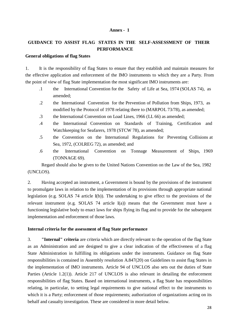#### **Annex - 1**

# **GUIDANCE TO ASSIST FLAG STATES IN THE SELF-ASSESSMENT OF THEIR PERFORMANCE**

# **General obligations of flag States**

1. It is the responsibility of flag States to ensure that they establish and maintain measures for the effective application and enforcement of the IMO instruments to which they are a Party. From the point of view of flag State implementation the most significant IMO instruments are:

- .1 the International Convention for the Safety of Life at Sea, 1974 (SOLAS 74), as amended;
- .2 the International Convention for the Prevention of Pollution from Ships, 1973, as modified by the Protocol of 1978 relating there to (MARPOL 73/78), as amended;
- .3 the International Convention on Load Lines, 1966 (LL 66) as amended;
- .4 the International Convention on Standards of Training, Certification and Watchkeeping for Seafarers, 1978 (STCW 78), as amended;
- .5 the Convention on the International Regulations for Preventing Collisions at Sea, 1972, (COLREG 72), as amended; and
- .6 the International Convention on Tonnage Measurement of Ships, 1969 (TONNAGE 69).

Regard should also be given to the United Nations Convention on the Law of the Sea, 1982 (UNCLOS).

2. Having accepted an instrument, a Government is bound by the provisions of the instrument to promulgate laws in relation to the implementation of its provisions through appropriate national legislation (e.g. SOLAS 74 article I(b)). The undertaking to give effect to the provisions of the relevant instrument (e.g. SOLAS 74 article I(a)) means that the Government must have a functioning legislative body to enact laws for ships flying its flag and to provide for the subsequent implementation and enforcement of those laws.

# **Internal criteria for the assessment of flag State performance**

3. **"Internal" criteria** are criteria which are directly relevant to the operation of the flag State as an Administration and are designed to give a clear indication of the effectiveness of a flag State Administration in fulfilling its obligations under the instruments. Guidance on flag State responsibilities is contained in Assembly resolution A.847(20) on Guidelines to assist flag States in the implementation of IMO instruments. Article 94 of UNCLOS also sets out the duties of State Parties (Article 1.2(1)). Article 217 of UNCLOS is also relevant in detailing the enforcement responsibilities of flag States. Based on international instruments, a flag State has responsibilities relating, in particular, to setting legal requirements to give national effect to the instruments to which it is a Party; enforcement of those requirements; authorization of organizations acting on its behalf and casualty investigation. These are considered in more detail below.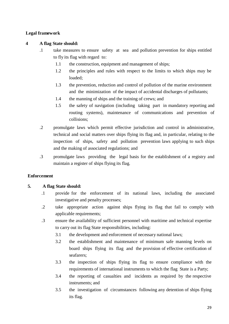# **Legal framework**

# **4 A flag State should:**

- .1 take measures to ensure safety at sea and pollution prevention for ships entitled to fly its flag with regard to:
	- 1.1 the construction, equipment and management of ships;
	- 1.2 the principles and rules with respect to the limits to which ships may be loaded;
	- 1.3 the prevention, reduction and control of pollution of the marine environment and the minimization of the impact of accidental discharges of pollutants;
	- 1.4 the manning of ships and the training of crews; and
	- 1.5 the safety of navigation (including taking part in mandatory reporting and routing systems), maintenance of communications and prevention of collisions;
- .2 promulgate laws which permit effective jurisdiction and control in administrative, technical and social matters over ships flying its flag and, in particular, relating to the inspection of ships, safety and pollution prevention laws applying to such ships and the making of associated regulations; and
- .3 promulgate laws providing the legal basis for the establishment of a registry and maintain a register of ships flying its flag.

# **Enforcement**

# **5. A flag State should:**

- .1 provide for the enforcement of its national laws, including the associated investigative and penalty processes;
- .2 take appropriate action against ships flying its flag that fail to comply with applicable requirements;
- .3 ensure the availability of sufficient personnel with maritime and technical expertise to carry out its flag State responsibilities, including:
	- 3.1 the development and enforcement of necessary national laws;
	- 3.2 the establishment and maintenance of minimum safe manning levels on board ships flying its flag and the provision of effective certification of seafarers;
	- 3.3 the inspection of ships flying its flag to ensure compliance with the requirements of international instruments to which the flag State is a Party;
	- 3.4 the reporting of casualties and incidents as required by the respective instruments; and
	- 3.5 the investigation of circumstances following any detention of ships flying its flag.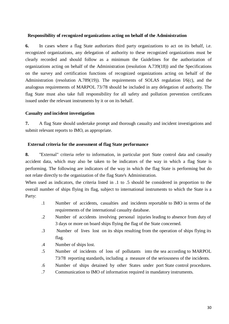#### **Responsibility of recognized organizations acting on behalf of the Administration**

**6.** In cases where a flag State authorizes third party organizations to act on its behalf, i.e. recognized organizations, any delegation of authority to these recognized organizations must be clearly recorded and should follow as a minimum the Guidelines for the authorization of organizations acting on behalf of the Administration (resolution A.739(18)) and the Specifications on the survey and certification functions of recognized organizations acting on behalf of the Administration (resolution A.789(19)). The requirements of SOLAS regulation  $I/6(c)$ , and the analogous requirements of MARPOL 73/78 should be included in any delegation of authority. The flag State must also take full responsibility for all safety and pollution prevention certificates issued under the relevant instruments by it or on its behalf.

#### **Casualty and incident investigation**

**7.** A flag State should undertake prompt and thorough casualty and incident investigations and submit relevant reports to IMO, as appropriate.

#### **External criteria for the assessment of flag State performance**

**8.** "External" criteria refer to information, in particular port State control data and casualty accident data, which may also be taken to be indicators of the way in which a flag State is performing. The following are indicators of the way in which the flag State is performing but do not relate directly to the organization of the flag State's Administration.

When used as indicators, the criteria listed in .1 to .5 should be considered in proportion to the overall number of ships flying its flag, subject to international instruments to which the State is a Party:

- .1 Number of accidents, casualties and incidents reportable to IMO in terms of the requirements of the international casualty database.
- .2 Number of accidents involving personal injuries leading to absence from duty of 3 days or more on board ships flying the flag of the State concerned.
- .3 Number of lives lost on its ships resulting from the operation of ships flying its flag.
- .4 Number of ships lost.
- .5 Number of incidents of loss of pollutants into the sea according to MARPOL 73/78 reporting standards, including a measure of the seriousness of the incidents.
- .6 Number of ships detained by other States under port State control procedures.
- .7 Communication to IMO of information required in mandatory instruments.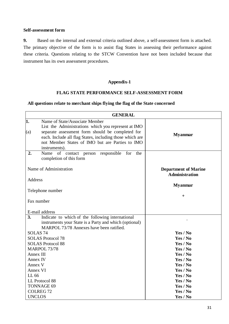#### **Self-assessment form**

**9.** Based on the internal and external criteria outlined above, a self-assessment form is attached. The primary objective of the form is to assist flag States in assessing their performance against these criteria. Questions relating to the STCW Convention have not been included because that instrument has its own assessment procedures.

#### **Appendix-1**

### **FLAG STATE PERFORMANCE SELF-ASSESSMENT FORM**

#### **All questions relate to merchant ships flying the flag of the State concerned**

|                | <b>GENERAL</b>                                                                                                                                                                                                                          |                                                      |
|----------------|-----------------------------------------------------------------------------------------------------------------------------------------------------------------------------------------------------------------------------------------|------------------------------------------------------|
| 1.             | Name of State/Associate Member                                                                                                                                                                                                          |                                                      |
| (a)            | List the Administrations which you represent at IMO<br>separate assessment form should be completed for<br>each. Include all flag States, including those which are<br>not Member States of IMO but are Parties to IMO<br>instruments). | <b>Myanmar</b>                                       |
| 2.             | of<br>responsible<br>Name<br>contact<br>for<br>the<br>person<br>completion of this form                                                                                                                                                 |                                                      |
|                | Name of Administration                                                                                                                                                                                                                  | <b>Department of Marine</b><br><b>Administration</b> |
| <b>Address</b> |                                                                                                                                                                                                                                         | <b>Myanmar</b>                                       |
|                | Telephone number                                                                                                                                                                                                                        |                                                      |
|                |                                                                                                                                                                                                                                         | $\ddot{}$                                            |
|                | Fax number                                                                                                                                                                                                                              |                                                      |
|                | E-mail address                                                                                                                                                                                                                          |                                                      |
| 3.             | Indicate to which of the following international                                                                                                                                                                                        |                                                      |
|                | instruments your State is a Party and which (optional)<br>MARPOL 73/78 Annexes have been ratified.                                                                                                                                      |                                                      |
|                | SOLAS <sub>74</sub>                                                                                                                                                                                                                     | Yes / No                                             |
|                | <b>SOLAS Protocol 78</b>                                                                                                                                                                                                                | Yes / No                                             |
|                | <b>SOLAS Protocol 88</b>                                                                                                                                                                                                                | Yes / No                                             |
|                | <b>MARPOL 73/78</b>                                                                                                                                                                                                                     | Yes / No                                             |
|                | Annex III                                                                                                                                                                                                                               | Yes / No                                             |
|                | Annex IV                                                                                                                                                                                                                                | Yes / No                                             |
| Annex V        |                                                                                                                                                                                                                                         | Yes / No                                             |
|                | Annex VI                                                                                                                                                                                                                                | Yes / No                                             |
| LL 66          |                                                                                                                                                                                                                                         | Yes / No                                             |
|                | LL Protocol 88                                                                                                                                                                                                                          | Yes / No                                             |
|                | <b>TONNAGE 69</b>                                                                                                                                                                                                                       | Yes / No                                             |
|                | <b>COLREG72</b>                                                                                                                                                                                                                         | Yes / No                                             |
|                | <b>UNCLOS</b>                                                                                                                                                                                                                           | Yes / No                                             |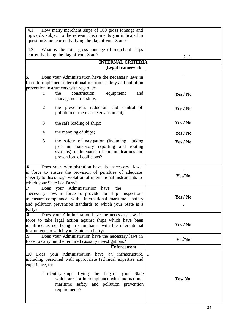| 4.1                                                      | How many merchant ships of 100 gross tonnage and<br>upwards, subject to the relevant instruments you indicated in<br>question 3, are currently flying the flag of your State?                                                  |          |
|----------------------------------------------------------|--------------------------------------------------------------------------------------------------------------------------------------------------------------------------------------------------------------------------------|----------|
| 4.2                                                      | What is the total gross tonnage of merchant ships<br>currently flying the flag of your State?                                                                                                                                  | GT.      |
|                                                          | <b>INTERNAL CRITERIA</b><br><b>Legal framework</b>                                                                                                                                                                             |          |
| 5.                                                       | Does your Administration have the necessary laws in<br>force to implement international maritime safety and pollution<br>prevention instruments with regard to:<br>the                                                         |          |
| $\cdot$ 1                                                | construction,<br>equipment<br>and<br>management of ships;                                                                                                                                                                      | Yes / No |
| $\cdot$ .2                                               | the prevention, reduction and control of<br>pollution of the marine environment;                                                                                                                                               | Yes / No |
| $\cdot$ 3                                                | the safe loading of ships;                                                                                                                                                                                                     | Yes / No |
| $\cdot$ 4                                                | the manning of ships;                                                                                                                                                                                                          | Yes / No |
| .5                                                       | the safety of navigation (including<br>taking<br>part in mandatory reporting and routing<br>systems), maintenance of communications and<br>prevention of collisions?                                                           | Yes / No |
| $\overline{\mathbf{.6}}$<br>which your State is a Party? | Does your Administration have the necessary laws<br>in force to ensure the provision of penalties of adequate<br>severity to discourage violation of international instruments to                                              | Yes/No   |
| $\cdot$ 7<br>Does<br>Party?                              | Administration<br>your<br>have<br>the<br>necessary laws in force to provide for ship inspections<br>to ensure compliance with international maritime safety<br>and pollution prevention standards to which your State is a     | Yes / No |
| $\boldsymbol{.8}$                                        | Does your Administration have the necessary laws in<br>force to take legal action against ships which have been<br>identified as not being in compliance with the international<br>instruments to which your State is a Party? | Yes / No |
| $\boldsymbol{.9}$                                        | Does your Administration have the necessary laws in<br>force to carry out the required casualty investigations?                                                                                                                | Yes/No   |
|                                                          | <b>Enforcement</b>                                                                                                                                                                                                             |          |
| experience, to:                                          | .10 Does your Administration have<br>an infrastructure,<br>including personnel with appropriate technical expertise and                                                                                                        |          |
|                                                          | .1 identify ships flying the flag of your<br><b>State</b><br>which are not in compliance with international<br>maritime safety and pollution prevention<br>requirements?                                                       | Yes/No   |
|                                                          |                                                                                                                                                                                                                                |          |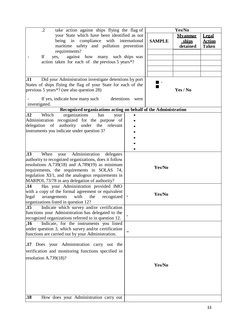| $\cdot$ .2<br>take action against ships flying the flag of                                                                                                                                                                                                                                                             |      |               | Yes/No                                     |                                               |
|------------------------------------------------------------------------------------------------------------------------------------------------------------------------------------------------------------------------------------------------------------------------------------------------------------------------|------|---------------|--------------------------------------------|-----------------------------------------------|
| your State which have been identified as not<br>compliance with international<br>being in<br>maritime safety and pollution prevention                                                                                                                                                                                  |      | <b>SAMPLE</b> | <u>Mvanmar</u><br><u>ships</u><br>detained | <b>Legal</b><br><b>Action</b><br><b>Taken</b> |
| requirements?<br>If<br>against how many such ships was<br>yes,<br>action taken for each of the previous 5 years*?                                                                                                                                                                                                      |      |               |                                            |                                               |
| .11<br>Did your Administration investigate detentions by port<br>States of ships flying the flag of your State for each of the<br>previous 5 years <sup>*?</sup> (see also question 28)<br>If yes, indicate how many such<br>detentions                                                                                | were |               | Yes / No                                   |                                               |
| investigated.                                                                                                                                                                                                                                                                                                          |      |               |                                            |                                               |
| Recognized organizations acting on behalf of the Administration<br>Which<br>.12<br>organizations<br>has<br>your<br>Administration recognized for the purpose of<br>delegation of authority under the relevant<br>instruments you indicate under question 3?                                                            |      |               |                                            |                                               |
| .13<br>When<br>Administration<br>your<br>delegates<br>authority to recognized organizations, does it follow<br>resolutions $A.739(18)$ and $A.789(19)$ as minimum<br>requirements, the requirements in SOLAS 74,<br>regulation XI/1, and the analogous requirements in<br>MARPOL 73/78 in any delegation of authority? |      | Yes/No        |                                            |                                               |
| Has your Administration provided IMO<br>.14<br>with a copy of the formal agreement or equivalent<br>legal<br>the<br>recognized<br>arrangements<br>with<br>organizations listed in question 12?                                                                                                                         |      | Yes/No        |                                            |                                               |
| Indicate which survey and/or certification<br>$\overline{.15}$<br>functions your Administration has delegated to the<br>recognized organizations referred to in question 12.                                                                                                                                           |      |               |                                            |                                               |
| .16<br>Indicate, for the instruments you listed<br>under question 3, which survey and/or certification<br>functions are carried out by your Administration.                                                                                                                                                            |      |               |                                            |                                               |
| .17 Does your Administration carry out the<br>verification and monitoring functions specified in<br>resolution A.739 $(18)$ ?<br>.18<br>How does your Administration carry out                                                                                                                                         |      | Yes/No        |                                            |                                               |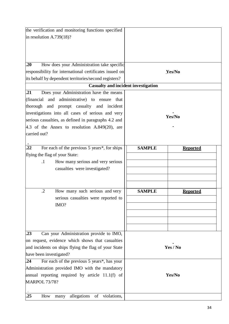| the verification and monitoring functions specified<br>in resolution $A.739(18)$ ?                                                                                                                                                                                                                                                                                       |                                |                                    |
|--------------------------------------------------------------------------------------------------------------------------------------------------------------------------------------------------------------------------------------------------------------------------------------------------------------------------------------------------------------------------|--------------------------------|------------------------------------|
| .20<br>How does your Administration take specific<br>responsibility for international certificates issued on<br>its behalf by dependent territories/second registers?                                                                                                                                                                                                    |                                | Yes/No                             |
| Casualty and incident investigation                                                                                                                                                                                                                                                                                                                                      |                                |                                    |
| $\overline{.21}$<br>Does your Administration have the means<br>(financial)<br>administrative) to ensure<br>and<br>that<br>thorough<br>and prompt casualty and incident<br>investigations into all cases of serious and very<br>serious casualties, as defined in paragraphs 4.2 and<br>4.3 of the Annex to resolution $A.849(20)$ , are<br>carried out?                  |                                | Yes/No                             |
| .22<br>For each of the previous 5 years*, for ships<br>flying the flag of your State:<br>How many serious and very serious<br>$\cdot$<br>casualties were investigated?<br>How many such serious and very<br>$\cdot$ .2<br>serious casualties were reported to<br>IMO?                                                                                                    | <b>SAMPLE</b><br><b>SAMPLE</b> | <b>Reported</b><br><b>Reported</b> |
| Can your Administration provide to IMO,<br>.23<br>on request, evidence which shows that casualties<br>and incidents on ships flying the flag of your State<br>have been investigated?<br>For each of the previous 5 years*, has your<br>.24<br>Administration provided IMO with the mandatory<br>annual reporting required by article 11.1(f) of<br><b>MARPOL 73/78?</b> | Yes / No<br>Yes/No             |                                    |
| many allegations<br>.25<br>violations,<br>of<br>How                                                                                                                                                                                                                                                                                                                      |                                |                                    |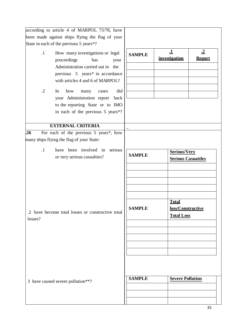| according to article 4 of MARPOL 73/78, have                                |                                                    |                                           |                                           |  |
|-----------------------------------------------------------------------------|----------------------------------------------------|-------------------------------------------|-------------------------------------------|--|
| been made against ships flying the flag of your                             |                                                    |                                           |                                           |  |
| State in each of the previous 5 years*?                                     |                                                    |                                           |                                           |  |
| How many investigations or legal<br>$\cdot$ 1<br>proceedings<br>has<br>your | <b>SAMPLE</b>                                      | $\mathbf{\underline{1}}$<br>investigation | $\cdot$ <sup>2</sup><br><b>Report</b>     |  |
| Administration carried out in the                                           |                                                    |                                           |                                           |  |
| previous 5 years* in accordance                                             |                                                    |                                           |                                           |  |
| with articles 4 and 6 of MARPOL?                                            |                                                    |                                           |                                           |  |
| $\cdot$ .2<br>how<br>did<br>In<br>many<br>cases                             |                                                    |                                           |                                           |  |
| your Administration report<br>back                                          |                                                    |                                           |                                           |  |
| to the reporting State or to IMO                                            |                                                    |                                           |                                           |  |
| in each of the previous 5 years*?                                           |                                                    |                                           |                                           |  |
| <b>EXTERNAL CRITERIA</b>                                                    |                                                    |                                           |                                           |  |
| For each of the previous 5 years*, how<br>.26                               |                                                    |                                           |                                           |  |
| many ships flying the flag of your State:                                   |                                                    |                                           |                                           |  |
| have been involved in serious<br>$\cdot$ 1                                  |                                                    |                                           |                                           |  |
| or very serious casualties?                                                 | <b>SAMPLE</b>                                      |                                           | Serious/Very<br><b>Serious Casuattles</b> |  |
|                                                                             |                                                    |                                           |                                           |  |
|                                                                             |                                                    |                                           |                                           |  |
|                                                                             |                                                    |                                           |                                           |  |
|                                                                             |                                                    |                                           |                                           |  |
|                                                                             |                                                    |                                           |                                           |  |
|                                                                             |                                                    |                                           |                                           |  |
|                                                                             | <b>Total</b><br><b>SAMPLE</b><br>loss/Constructive |                                           |                                           |  |
| .2 have become total losses or constructive total                           |                                                    | <b>Total Loss</b>                         |                                           |  |
| losses?                                                                     |                                                    |                                           |                                           |  |
|                                                                             |                                                    |                                           |                                           |  |
|                                                                             |                                                    |                                           |                                           |  |
|                                                                             |                                                    |                                           |                                           |  |
|                                                                             |                                                    |                                           |                                           |  |
|                                                                             |                                                    |                                           |                                           |  |
|                                                                             |                                                    |                                           |                                           |  |
|                                                                             |                                                    |                                           |                                           |  |
| 3 have caused severe pollution**?                                           | <b>SAMPLE</b>                                      | <b>Severe Pollution</b>                   |                                           |  |
|                                                                             |                                                    |                                           |                                           |  |
|                                                                             |                                                    |                                           |                                           |  |
|                                                                             |                                                    |                                           |                                           |  |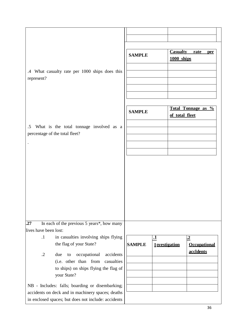|                       |                                                                           | <b>SAMPLE</b> |                       | 1000 ships     | <b>Casualty rate per</b> |
|-----------------------|---------------------------------------------------------------------------|---------------|-----------------------|----------------|--------------------------|
| represent?            | .4 What casualty rate per 1000 ships does this                            |               |                       |                |                          |
|                       |                                                                           |               |                       |                |                          |
|                       |                                                                           | <b>SAMPLE</b> |                       | of total fleet | Total Tonnage as %       |
| $.5\,$                | What is the total tonnage involved as a<br>percentage of the total fleet? |               |                       |                |                          |
| $\blacksquare$        |                                                                           |               |                       |                |                          |
|                       |                                                                           |               |                       |                |                          |
|                       |                                                                           |               |                       |                |                          |
|                       |                                                                           |               |                       |                |                          |
|                       |                                                                           |               |                       |                |                          |
|                       |                                                                           |               |                       |                |                          |
|                       |                                                                           |               |                       |                |                          |
|                       |                                                                           |               |                       |                |                          |
| .27                   | In each of the previous 5 years*, how many                                |               |                       |                |                          |
| lives have been lost: |                                                                           |               |                       |                |                          |
| $\cdot$ 1             | in casualties involving ships flying                                      |               | $\cdot$               |                | $\cdot\mathbf{2}$        |
|                       | the flag of your State?                                                   | <b>SAMPLE</b> | <b>I</b> nvestigation |                | <b>Occupational</b>      |
| $\cdot$ .2            | accidents<br>occupational<br>due<br>to                                    |               |                       |                | accidents                |
|                       | (i.e. other than from<br>casualties                                       |               |                       |                |                          |
|                       | to ships) on ships flying the flag of                                     |               |                       |                |                          |
|                       | your State?                                                               |               |                       |                |                          |
|                       | NB - Includes: falls; boarding or disembarking;                           |               |                       |                |                          |
|                       | accidents on deck and in machinery spaces; deaths                         |               |                       |                |                          |
|                       | in enclosed spaces; but does not include: accidents                       |               |                       |                |                          |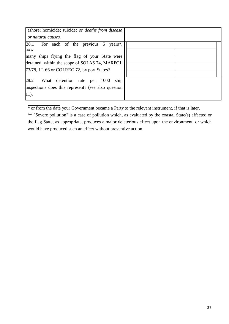| ashore; homicide; suicide; or deaths from disease<br>or natural causes.                                |  |
|--------------------------------------------------------------------------------------------------------|--|
| 28.1 <br>For each of the previous 5 years*,<br>how                                                     |  |
| many ships flying the flag of your State were<br>detained, within the scope of SOLAS 74, MARPOL        |  |
| 73/78, LL 66 or COLREG 72, by port States?                                                             |  |
| 28.2<br>What detention rate per<br>ship<br>1000<br>inspections does this represent? (see also question |  |
| $ 11\rangle$ .                                                                                         |  |

\* or from the date your Government became a Party to the relevant instrument, if that is later.

\*\* "Severe pollution" is a case of pollution which, as evaluated by the coastal State(s) affected or the flag State, as appropriate, produces a major deleterious effect upon the environment, or which would have produced such an effect without preventive action.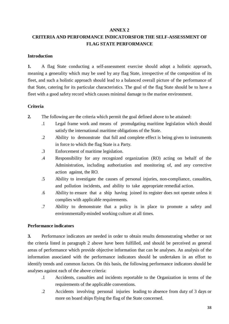#### **ANNEX 2**

# **CRITERIA AND PERFORMANCE INDICATORSFOR THE SELF-ASSESSMENT OF FLAG STATE PERFORMANCE**

# **Introduction**

**1.** A flag State conducting a self-assessment exercise should adopt a holistic approach, meaning a generality which may be used by any flag State, irrespective of the composition of its fleet, and such a holistic approach should lead to a balanced overall picture of the performance of that State, catering for its particular characteristics. The goal of the flag State should be to have a fleet with a good safety record which causes minimal damage to the marine environment.

# **Criteria**

- **2.** The following are the criteria which permit the goal defined above to be attained:
	- .1 Legal frame work and means of promulgating maritime legislation which should satisfy the international maritime obligations of the State.
	- .2 Ability to demonstrate that full and complete effect is being given to instruments in force to which the flag State is a Party.
	- .3 Enforcement of maritime legislation.
	- .4 Responsibility for any recognized organization (RO) acting on behalf of the Administration, including authorization and monitoring of, and any corrective action against, the RO.
	- .5 Ability to investigate the causes of personal injuries, non-compliance, casualties, and pollution incidents, and ability to take appropriate remedial action.
	- .6 Ability to ensure that a ship having joined its register does not operate unless it complies with applicable requirements.
	- .7 Ability to demonstrate that a policy is in place to promote a safety and environmentally-minded working culture at all times.

# **Performance indicators**

**3.** Performance indicators are needed in order to obtain results demonstrating whether or not the criteria listed in paragraph 2 above have been fulfilled, and should be perceived as general areas of performance which provide objective information that can be analyses. An analysis of the information associated with the performance indicators should be undertaken in an effort to identify trends and common factors. On this basis, the following performance indicators should be analyses against each of the above criteria:

- .1 Accidents, casualties and incidents reportable to the Organization in terms of the requirements of the applicable conventions.
- .2 Accidents involving personal injuries leading to absence from duty of 3 days or more on board ships flying the flag of the State concerned.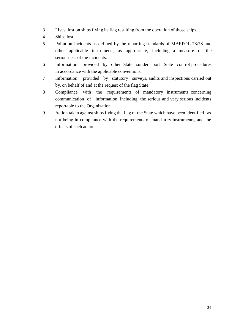- .3 Lives lost on ships flying its flag resulting from the operation of those ships.
- .4 Ships lost.
- .5 Pollution incidents as defined by the reporting standards of MARPOL 73/78 and other applicable instruments, as appropriate, including a measure of the seriousness of the incidents.
- .6 Information provided by other State sunder port State control procedures in accordance with the applicable conventions.
- .7 Information provided by statutory surveys, audits and inspections carried out by, on behalf of and at the request of the flag State.
- .8 Compliance with the requirements of mandatory instruments, concerning communication of information, including the serious and very serious incidents reportable to the Organization.
- .9 Action taken against ships flying the flag of the State which have been identified as not being in compliance with the requirements of mandatory instruments, and the effects of such action.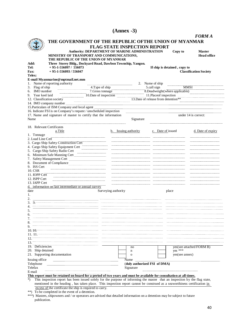# **(Annex -3)**

|                             |                                                                                      |                                                                                                                                               |                              |                   |                              | <b>FORMA</b>                  |
|-----------------------------|--------------------------------------------------------------------------------------|-----------------------------------------------------------------------------------------------------------------------------------------------|------------------------------|-------------------|------------------------------|-------------------------------|
|                             | THE GOVERNMENT OF THE REPUBLIC OFTHE UNION OF MYANMAR                                |                                                                                                                                               |                              |                   |                              |                               |
|                             |                                                                                      | <b>FLAG STATE INSPECTION REPORT</b>                                                                                                           |                              |                   |                              |                               |
|                             |                                                                                      | Authority: DEPARTMENT OF MARINE ADMINISTRATION                                                                                                |                              |                   | Copy to                      | <b>Master</b>                 |
|                             | MINISTRY OF TRANSPORT AND COMMUNICATIONS,                                            |                                                                                                                                               |                              |                   |                              | <b>Head office</b>            |
|                             | THE REPUBLIC OF THE UNION OF MYANMAR                                                 |                                                                                                                                               |                              |                   |                              |                               |
| Add:<br>Tel:                | Three Storey Bldg., Dockyard Road, Dawbon Township, Yangon.<br>$+95-1-556097/556073$ |                                                                                                                                               |                              |                   | If ship is detained, copy to |                               |
| <b>Fax:</b>                 | $+95-1-556093/556047$                                                                |                                                                                                                                               |                              |                   |                              | <b>Classification Society</b> |
| Telex:                      |                                                                                      |                                                                                                                                               |                              |                   |                              |                               |
|                             | E-mail Myanmarine@mptmail.net.mm                                                     |                                                                                                                                               |                              |                   |                              |                               |
|                             | 1. Name of reporting authority                                                       |                                                                                                                                               |                              | 2. Name of ship   |                              |                               |
| 3. Flag of ship             | $\dfrac{4.1 \text{ yP}}{7. \text{Gross tonnage}}$                                    | 4.Type of ship<br>7.Gross tonnage 3.Deadweight (where applicable)<br>10.Date of inspection<br>13.Date of release from detention <sup>**</sup> |                              |                   |                              |                               |
| 6. IMO number               |                                                                                      |                                                                                                                                               |                              |                   |                              |                               |
| 9. Year keel laid           |                                                                                      |                                                                                                                                               |                              |                   |                              |                               |
|                             | 12. Classification society                                                           |                                                                                                                                               |                              |                   |                              |                               |
|                             |                                                                                      |                                                                                                                                               |                              |                   |                              |                               |
|                             | 16. Indicate FSI is on Company's request / unscheduled inspection                    |                                                                                                                                               |                              |                   |                              |                               |
|                             | 17. Name and signature of master to certify that the information                     |                                                                                                                                               |                              |                   |                              | under 14 is correct:          |
| Name                        |                                                                                      |                                                                                                                                               | Signature                    |                   |                              |                               |
|                             |                                                                                      |                                                                                                                                               |                              |                   |                              |                               |
|                             | 18. Relevant Certificates                                                            |                                                                                                                                               |                              |                   |                              |                               |
|                             | a.Title                                                                              |                                                                                                                                               | Issuing authority            | c. Date of issued |                              | d. Date of expiry             |
| 1. Tonnage                  |                                                                                      |                                                                                                                                               |                              |                   |                              |                               |
| 2. Load Line Cert           | 3. Cargo Ship Safety Construction Cert                                               |                                                                                                                                               |                              |                   |                              |                               |
|                             | 4. Cargo Ship Safety Equipment Cert                                                  |                                                                                                                                               |                              |                   |                              |                               |
|                             | 5. Cargo Ship Safety Radio Cert                                                      |                                                                                                                                               |                              |                   |                              |                               |
|                             | 6. Minimum Safe Manning Cert Manning Cert                                            |                                                                                                                                               |                              |                   |                              |                               |
|                             |                                                                                      |                                                                                                                                               |                              |                   |                              |                               |
|                             | 8. Document of Compliance                                                            |                                                                                                                                               |                              |                   |                              |                               |
| 9. ISS Cert                 |                                                                                      |                                                                                                                                               |                              |                   |                              |                               |
| 10. CSR                     |                                                                                      |                                                                                                                                               |                              |                   |                              |                               |
| 11. <b>IOPP</b> Cert        |                                                                                      |                                                                                                                                               |                              |                   |                              |                               |
| 12. ISPP Cert               |                                                                                      |                                                                                                                                               |                              |                   |                              |                               |
| 13. IAPP Cert               | d. information on last intermediate or annual survey                                 |                                                                                                                                               |                              |                   |                              |                               |
| date                        |                                                                                      | Surveying authority                                                                                                                           |                              |                   | place                        |                               |
|                             |                                                                                      |                                                                                                                                               |                              |                   |                              |                               |
|                             |                                                                                      |                                                                                                                                               |                              |                   |                              |                               |
|                             |                                                                                      |                                                                                                                                               |                              |                   |                              |                               |
|                             |                                                                                      |                                                                                                                                               |                              |                   |                              |                               |
|                             |                                                                                      |                                                                                                                                               |                              |                   |                              |                               |
|                             |                                                                                      |                                                                                                                                               |                              |                   |                              |                               |
|                             |                                                                                      |                                                                                                                                               |                              |                   |                              |                               |
|                             |                                                                                      |                                                                                                                                               |                              |                   |                              |                               |
| 10.10                       |                                                                                      |                                                                                                                                               |                              |                   |                              |                               |
|                             |                                                                                      |                                                                                                                                               |                              |                   |                              |                               |
|                             |                                                                                      |                                                                                                                                               |                              |                   |                              |                               |
|                             |                                                                                      |                                                                                                                                               |                              |                   |                              |                               |
| 19. Deficiencies            |                                                                                      |                                                                                                                                               | no                           |                   |                              | yes (see attached FORM B)     |
| 20. Ship detained           |                                                                                      |                                                                                                                                               | n                            |                   | yes ***                      |                               |
|                             | 21. Supporting documentation                                                         |                                                                                                                                               | $\mathbf{O}$                 |                   | yes(see annex)               |                               |
|                             |                                                                                      |                                                                                                                                               | Name                         |                   |                              |                               |
|                             |                                                                                      |                                                                                                                                               | (duly authorized FSI of DMA) |                   |                              |                               |
| Issuing office<br>Telephone |                                                                                      |                                                                                                                                               |                              |                   |                              |                               |
| Telefax                     |                                                                                      |                                                                                                                                               | Signature                    |                   |                              |                               |

mentioned in the heading, has taken place. This inspection report cannot be construed as a seaworthiness certification in excess of the certificate the ship is required to carry.

\*\*) To be completed in the event of a detention.

\*\*\*) Masters, shipowners and / or operators are advised that detailed information on a detention may be subject to future publication.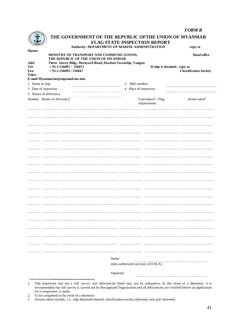|                               |                                                                                   |                                                |                                                | <b>FORM B</b>                 |
|-------------------------------|-----------------------------------------------------------------------------------|------------------------------------------------|------------------------------------------------|-------------------------------|
|                               | THE GOVERNMENT OF THE REPUBLIC OFTHE UNION OF MYANMAR                             | FLAG STATE INSPECTION REPORT                   |                                                |                               |
| <b>Master</b>                 |                                                                                   | Authority: DEPARTMENT OF MARINE ADMINISTRATION |                                                | copy to                       |
|                               | MINISTRY OF TRANSPORT AND COMMUNICATIONS,<br>THE REPUBLIC OF THE UNION OF MYANMAR |                                                |                                                | <b>Head office</b>            |
| Add:                          | Three Storey Bldg., Dockyard Road, Dawbon Township, Yangon.                       |                                                |                                                |                               |
| Tel:<br><b>Fax:</b><br>Telex: | $+95-1-556097/556073$<br>$+95-1-556093/556047$                                    |                                                | If ship is detained, copy to                   | <b>Classification Society</b> |
|                               | E-mail Myanmarine@mptmail.net.mm                                                  |                                                |                                                |                               |
| 1. Name of ship               |                                                                                   | 2. IMO number                                  |                                                |                               |
| 3. Date of inspection         |                                                                                   |                                                | 4. Place of inspection                         |                               |
| 5. Nature of deficiency       |                                                                                   |                                                |                                                |                               |
|                               | Number Nature of deficiency <sup>1</sup>                                          |                                                | Convention <sup>2</sup> / Flag<br>requirements | Action taken $3$              |
|                               |                                                                                   |                                                |                                                |                               |
|                               |                                                                                   |                                                |                                                |                               |
|                               |                                                                                   |                                                |                                                |                               |
|                               |                                                                                   |                                                |                                                |                               |
|                               |                                                                                   |                                                |                                                |                               |
|                               |                                                                                   |                                                |                                                |                               |
|                               |                                                                                   |                                                |                                                |                               |
|                               |                                                                                   |                                                |                                                |                               |
|                               |                                                                                   |                                                |                                                |                               |
|                               |                                                                                   |                                                |                                                |                               |
|                               |                                                                                   |                                                |                                                |                               |
|                               |                                                                                   |                                                |                                                |                               |
|                               |                                                                                   |                                                |                                                |                               |
|                               |                                                                                   |                                                |                                                |                               |
|                               |                                                                                   |                                                |                                                |                               |
|                               |                                                                                   |                                                |                                                |                               |
|                               |                                                                                   |                                                |                                                |                               |
|                               |                                                                                   |                                                |                                                |                               |
|                               |                                                                                   |                                                |                                                |                               |
|                               |                                                                                   |                                                |                                                |                               |
|                               |                                                                                   |                                                |                                                |                               |
|                               |                                                                                   |                                                |                                                |                               |
|                               |                                                                                   |                                                |                                                |                               |
|                               |                                                                                   |                                                |                                                |                               |
|                               |                                                                                   |                                                |                                                |                               |
|                               |                                                                                   |                                                |                                                |                               |
|                               |                                                                                   | Name:                                          |                                                |                               |
|                               |                                                                                   | (duly authorized surveyor of D.M.A)            |                                                |                               |
|                               |                                                                                   |                                                |                                                |                               |
|                               |                                                                                   | Signature:                                     |                                                |                               |

<sup>1.</sup> This inspection was not a full survey and deficiencies listed may not be exhaustive. In the event of a detention, it is recommended that full survey is carried out by Recognized Organization and all deficiencies are rectified before an application for re-inspection is made.

<sup>2.</sup> To be completed in the event of a detention.<br>3 Actions taken include,, i.e.: ship detained/rel

<sup>3</sup> Actions taken include,, i.e.: ship detained/released, classification society informed, next port informed.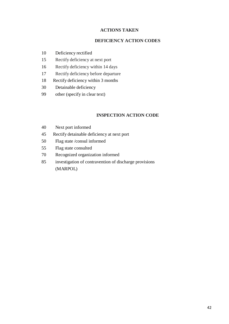#### **ACTIONS TAKEN**

### **DEFICIENCY ACTION CODES**

- Deficiency rectified
- Rectify deficiency at next port
- Rectify deficiency within 14 days
- Rectify deficiency before departure
- Rectify deficiency within 3 months
- Detainable deficiency
- other (specify in clear text)

# **INSPECTION ACTION CODE**

- Next port informed
- Rectify detainable deficiency at next port
- Flag state /consul informed
- Flag state consulted
- Recognized organization informed
- investigation of contravention of discharge provisions (MARPOL)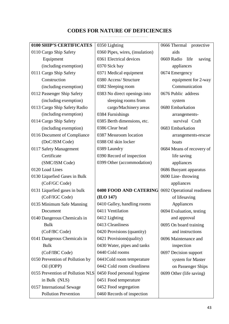# **CODES FOR NATURE OF DEFICIENCIES**

| 0100 SHIP'S CERTIFICATES         | 0350 Lighting                   | 0666 Thermal<br>protective   |
|----------------------------------|---------------------------------|------------------------------|
| 0110 Cargo Ship Safety           | 0360 Pipes, wires, (insulation) | aids                         |
| Equipment                        | 0361 Electrical devices         | 0669 Radio<br>life<br>saving |
| (including exemption)            | 0370 Sick bay                   | appliances                   |
| 0111 Cargo Ship Safety           | 0371 Medical equipment          | 0674 Emergency               |
| Construction                     | 0380 Access/ Structure          | equipment for 2-way          |
| (including exemption)            | 0382 Sleeping room              | Communication                |
| 0112 Passenger Ship Safety       | 0383 No direct openings into    | 0676 Public address          |
| (including exemption)            | sleeping rooms from             | system                       |
| 0113 Cargo Ship Safety Radio     | cargo/Machinery areas           | 0680 Embarkation             |
| (including exemption)            | 0384 Furnishings                | arrangements-                |
| 0114 Cargo Ship Safety           | 0385 Berth dimensions, etc.     | survival Craft               |
| (including exemption)            | 0386 Clear head                 | 0683 Embarkation             |
| 0116 Document of Compliance      | 0387 Messroom location          | arrangements-rescue          |
| (DoC/ISM Code)                   | 0388 Oil skin locker            | boats                        |
| 0117 Safety Management           | 0389 Laundry                    | 0684 Means of recovery of    |
| Certificate                      | 0390 Record of inspection       | life saving                  |
| (SMC/ISM Code)                   | 0399 Other (accommodation)      | appliances                   |
| 0120 Load Lines                  |                                 | 0686 Buoyant apparatus       |
| 0130 Liquefied Gases in Bulk     |                                 | 0690 Line-throwing           |
| (CoF/GC Code)                    |                                 | appliances                   |
| 0131 Liquefied gases in bulk     | 0400 FOOD AND CATERING          | 0692 Operational readiness   |
| (CoF/IGC Code)                   | (ILO 147)                       | of lifesaving                |
| 0135 Minimum Safe Manning        | 0410 Galley, handling rooms     | Appliances                   |
| Document                         | 0411 Ventilation                | 0694 Evaluation, testing     |
| 0140 Dangerous Chemicals in      | 0412 Lighting                   | and approval                 |
| <b>Bulk</b>                      | 0413 Cleanliness                | 0695 On board training       |
| (CoF/BC Code)                    | 0420 Provisions (quantity)      | and instructions             |
| 0141 Dangerous Chemicals in      | 0421 Provisions(quality)        | 0696 Maintenance and         |
| <b>Bulk</b>                      | 0430 Water, pipes and tanks     | inspection                   |
| (CoF/IBC Code)                   | 0440 Cold rooms                 | 0697 Decision support        |
| 0150 Prevention of Pollution by  | 0441Cold room temperature       | system for Master            |
| Oil (IOPP)                       | 0442 Cold room cleanliness      | on Passenger Ships           |
| 0155 Prevention of Pollution NLS | 0450 Food personal hygiene      | 0699 Other (life saving)     |
| in Bulk (NLS)                    | 0451 Food temperature           |                              |
| 0157 International Sewage        | 0452 Food segregation           |                              |
| <b>Pollution Prevention</b>      | 0460 Records of inspection      |                              |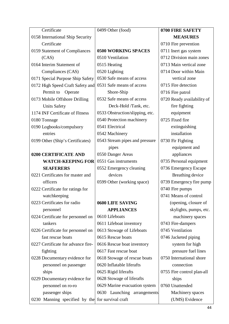| Certificate                        | 0499 Other (food)               | 0700 FIRE SAFETY           |
|------------------------------------|---------------------------------|----------------------------|
| 0158 International Ship Security   |                                 | <b>MEASURES</b>            |
| Certificate                        |                                 | 0710 Fire prevention       |
| 0159 Statement of Compliances      | <b>0500 WORKING SPACES</b>      | 0711 Inert gas system      |
| (CAS)                              | 0510 Ventilation                | 0712 Division main zones   |
| 0164 Interim Statement of          | 0515 Heating                    | 0713 Main vertical zone    |
| Compliances (CAS)                  | 0520 Lighting                   | 0714 Door within Main      |
| 0171 Special Purpose Ship Safety   | 0530 Safe means of access       | vertical zone              |
| 0172 High Speed Craft Safety and   | 0531 Safe means of access       | 0715 Fire detection        |
| Permit to<br>Operate               | Shore-Ship                      | 0716 Fire patrol           |
| 0173 Mobile Offshore Drilling      | 0532 Safe means of access       | 0720 Ready availability of |
| <b>Units Safety</b>                | Deck-Hold /Tank, etc.           | fire fighting              |
| 1174 INF Certificate of Fitness    | 0533 Obstruction/slipping, etc. | equipment                  |
| 0180 Tonnage                       | 0540 Protection machinery       | 0725 Fixed fire            |
| 0190 Logbooks/compulsory           | 0541 Electrical                 | extinguishing              |
| entries                            | 0542 Machinery                  | installation               |
| 0199 Other (Ship's Certificates)   | 0543 Stream pipes and pressure  | 0730 Fir Fighting          |
|                                    | pipes                           | equipment and              |
| 0200 CERTIFICATE AND               | 0550 Danger Areas               | appliances                 |
| <b>WATCH-KEEPING FOR</b>           | 0551 Gas instruments            | 0735 Personal equipment    |
| <b>SEAFERERS</b>                   | 0552 Emergency cleaning         | 0736 Emergency Escape      |
| 0221 Certificates for master and   | devices                         | Breathing device           |
| officers                           | 0599 Other (working space)      | 0739 Emergency fire pump   |
| 0222 Certificate for ratings for   |                                 | 0740 Fire pumps            |
| watchkeeping                       |                                 | 0741 Means of control      |
| 0223 Certificates for radio        | 0600 LIFE SAVING                | (opening, closure of       |
| personnel                          | <b>APPLIANCES</b>               | skylights, pumps, etc.     |
| 0224 Certificate for personnel on  | 0610 Lifeboats                  | machinery spaces           |
| tankers                            | 0611 Lifeboat inventory         | 0743 Fire-dampers          |
| 0226 Certificate for personnel on  | 0613 Stowage of Lifeboats       | 0745 Ventilation           |
| fast rescue boats                  | 0615 Rescue boats               | 0746 Jacketed piping       |
| 0227 Certificate for advance fire- | 0616 Rescue boat inventory      | system for high            |
| fighting                           | 0617 Fast rescue boat           | pressure fuel lines        |
| 0228 Documentary evidence for      | 0618 Stowage of rescue boats    | 0750 International shore   |
| personnel on passenger             | 0620 Inflatable liferafts       | connection                 |
| ships                              | 0625 Rigid liferafts            | 0755 Fire control plan-all |
| 0229 Documentary evidence for      | 0628 Stowage of liferafts       | ships                      |
| personnel on ro-ro                 | 0629 Marine evacuation system   | 0760 Unattended            |
| passenger ships                    | 0630 Launching arrangements     | Machinery spaces           |
| 0230 Manning specified by the      | for survival craft              | (UMS) Evidence             |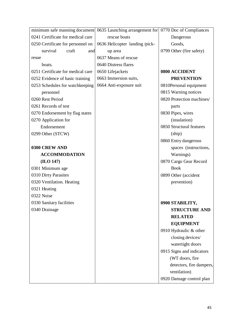| minimum safe manning document 0635 Launching arrangement for 0770 Doc of Compliances |                               |                           |
|--------------------------------------------------------------------------------------|-------------------------------|---------------------------|
| 0241 Certificate for medical care                                                    | rescue boats                  | Dangerous                 |
| 0250 Certificate for personnel on                                                    | 0636 Helicopter landing/pick- | Goods,                    |
| survival<br>craft<br>and                                                             | up area                       | 0799 Other (fire safety)  |
| resue                                                                                | 0637 Means of rescue          |                           |
| boats.                                                                               | 0640 Distress flares          |                           |
| 0251 Certificate for medical care                                                    | 0650 Lifejackets              | 0800 ACCIDENT             |
| 0252 Evidence of basic training                                                      | 0663 Immersion suits,         | <b>PREVENTION</b>         |
| 0253 Schedules for watchkeeping                                                      | 0664 Anti-exposure suit       | 0810Personal equipment    |
| personnel                                                                            |                               | 0815 Warning notices      |
| 0260 Rest Period                                                                     |                               | 0820 Protection machines/ |
| 0261 Records of test                                                                 |                               | parts                     |
| 0270 Endorsement by flag states                                                      |                               | 0830 Pipes, wires         |
| 0270 Application for                                                                 |                               | (insulation)              |
| Endorsement                                                                          |                               | 0850 Structural features  |
| 0299 Other (STCW)                                                                    |                               | (ship)                    |
|                                                                                      |                               | 0860 Entry dangerous      |
| 0300 CREW AND                                                                        |                               | spaces (instructions,     |
| <b>ACCOMMODATION</b>                                                                 |                               | Warnings)                 |
| (ILO 147)                                                                            |                               | 0870 Cargo Gear Record    |
| 0301 Minimum age                                                                     |                               | <b>Book</b>               |
| 0310 Dirty Parasites                                                                 |                               | 0899 Other (accident      |
| 0320 Ventilation. Heating                                                            |                               | prevention)               |
| 0321 Heating                                                                         |                               |                           |
| 0322 Noise                                                                           |                               |                           |
| 0330 Sanitary facilities                                                             |                               | 0900 STABILITY,           |
| 0340 Drainage                                                                        |                               | <b>STRUCTURE AND</b>      |
|                                                                                      |                               | <b>RELATED</b>            |
|                                                                                      |                               | <b>EQUIPMENT</b>          |
|                                                                                      |                               | 0910 Hydraulic & other    |
|                                                                                      |                               | closing devices/          |
|                                                                                      |                               | watertight doors          |
|                                                                                      |                               | 0915 Signs and indicators |
|                                                                                      |                               | (WT doors, fire           |
|                                                                                      |                               | detectors, fire dampers,  |
|                                                                                      |                               | ventilation)              |
|                                                                                      |                               | 0920 Damage control plan  |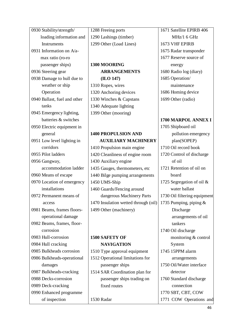| 0930 Stability/strength/     | 1288 Freeing ports                   | 1671 Satellite EPIRB 406     |  |
|------------------------------|--------------------------------------|------------------------------|--|
| loading information and      | 1290 Lashings (timber)               | MHz/1 6 GHz                  |  |
| <b>Instruments</b>           | 1299 Other (Load Lines)              | 1673 VHF EPIRB               |  |
| 0931 Information on A/a-     |                                      | 1675 Radar transponder       |  |
| max ratio (ro-ro             |                                      | 1677 Reserve source of       |  |
| passenger ships)             | 1300 MOORING                         | energy                       |  |
| 0936 Steering gear           | <b>ARRANGEMENTS</b>                  | 1680 Radio log (diary)       |  |
| 0938 Damage to hull due to   | (ILO 147)                            | 1685 Operation/              |  |
| weather or ship              | 1310 Ropes, wires                    | maintenance                  |  |
| Operation                    | 1320 Anchoring devices               | 1686 Homing device           |  |
| 0940 Ballast, fuel and other | 1330 Winches & Capstans              | 1699 Other (radio)           |  |
| tanks                        | 1340 Adequate lighting               |                              |  |
| 0945 Emergency lighting,     | 1399 Other (mooring)                 |                              |  |
| batteries & switches         |                                      | 1700 MARPOL ANNEX I          |  |
| 0950 Electric equipment in   |                                      | 1705 Shipboard oil           |  |
| general                      | <b>1400 PROPULSION AND</b>           | pollution emergency          |  |
| 0951 Low level lighting in   | <b>AUXILIARY MACHINERY</b>           | plan(SOPEP)                  |  |
| corridors                    | 1410 Propulsion main engine          | 1710 Oil record book         |  |
| 0955 Pilot ladders           | 1420 Cleanliness of engine room      | 1720 Control of discharge    |  |
| 0956 Gangway,                | 1430 Auxiliary engine                | of oil                       |  |
| accommodation ladder         | 1435 Gauges, thermometers, etc       | 1721 Retention of oil on     |  |
| 0960 Means of escape         | 1440 Bilge pumping arrangements      | board                        |  |
| 0970 Location of emergency   | 1450 UMS-Ship                        | 1725 Segregation of oil $&$  |  |
| installations                | 1460 Guards/Fencing around           | water ballast                |  |
| 0972 Permanent means of      | dangerous Machinery Parts            | 1730 Oil filtering equipment |  |
| access                       | 1470 Insulation wetted through (oil) | 1735 Pumping, piping $&$     |  |
| 0981 Beams, frames floors-   | 1499 Other (machinery)               | Discharge                    |  |
| operational damage           |                                      | arrangements of oil          |  |
| 0982 Beams, frames, floor-   |                                      | tankers                      |  |
| corrosion                    |                                      | 1740 Oil discharge           |  |
| 0983 Hull-corrosion          | <b>1500 SAFETY OF</b>                | monitoring & control         |  |
| 0984 Hull cracking           | <b>NAVIGATION</b>                    | System                       |  |
| 0985 Bulkheads corrosion     | 1510 Type approval equipment         | 1745 15PPM alarm             |  |
| 0986 Bulkheads-operational   | 1512 Operational limitations for     | arrangements                 |  |
| damages                      | passenger ships                      | 1750 Oil/Water interface     |  |
| 0987 Bulkheads-cracking      | 1514 SAR Coordination plan for       | detector                     |  |
| 0988 Decks-corrosion         | passenger ships trading on           | 1760 Standard discharge      |  |
| 0989 Deck-cracking           | fixed routes                         | connection                   |  |
| 0990 Enhanced programme      |                                      | 1770 SBT, CBT, COW           |  |
| of inspection                | 1530 Radar                           | 1771 COW Operations and      |  |
|                              |                                      |                              |  |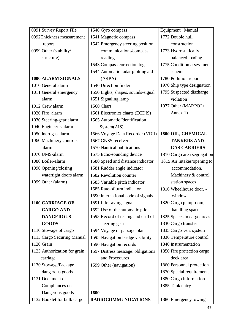| 0991 Survey Report File      | 1540 Gyro compass                                                | Equipment Manual            |
|------------------------------|------------------------------------------------------------------|-----------------------------|
| 0992Thickness measurement    | 1772 Double hull<br>1541 Magnetic compass                        |                             |
| report                       | 1542 Emergency steering position                                 | construction                |
| 0999 Other (stability/       | 1773 Hydrostatically<br>communications/compass                   |                             |
| structure)                   | reading                                                          | balanced loading            |
|                              | 1543 Compass correction log                                      | 1775 Condition assessment   |
|                              | 1544 Automatic radar plotting aid                                | scheme                      |
| 1000 ALARM SIGNALS           | (ARPA)                                                           | 1780 Pollution report       |
| 1010 General alarm           | 1546 Direction finder                                            | 1970 Ship type designation  |
| 1011 General emergency       | 1550 Lights, shapes, sounds-signal<br>1795 Suspected discharge   |                             |
| alarm                        | 1551 Signaling lamp<br>violation                                 |                             |
| 1012 Crew alarm              | 1560 Chars                                                       | 1977 Other (MARPOL/         |
| 1020 Fire alarm              | 1561 Electronics charts (ECDIS)                                  | Annex 1)                    |
| 1030 Steering-gear alarm     | 1565 Automatic Identification                                    |                             |
| 1040 Engineer's alarm        | System(ALS)                                                      |                             |
| 1050 Inert gas alarm         | 1566 Voyage Data Recorder (VDR)                                  | 1800 OIL, CHEMICAL          |
| 1060 Machinery controls      | 1567 GNSS receiver                                               | <b>TANKERS AND</b>          |
| alarm                        | 1570 Nautical publications                                       | <b>GAS CARRIERS</b>         |
| 1070 UMS-alarm               | 1575 Echo-sounding device<br>1810 Cargo area segregation         |                             |
| 1080 Boiler-alarm            | 1580 Speed and distance indicator                                | 1815 Air intakes/opening to |
| 1090 Opening/closing         | 1581 Rudder angle indicator                                      | accommodation,              |
| watertight doors alarm       | 1582 Revolution counter                                          | Machinery & control         |
| 1099 Other (alarm)           | 1583 Variable pitch indicator                                    | station spaces              |
|                              | 1585 Rate-of turn indicator                                      | 1816 Wheelhouse door, -     |
|                              | 1590 International code of signals                               | window                      |
| <b>1100 CARRIAGE OF</b>      | 1591 Life saving signals                                         | 1820 Cargo pumproom,        |
| <b>CARGO AND</b>             | 1592 Use of the automatic pilot                                  | handling space              |
| <b>DANGEROUS</b>             | 1593 Record of testing and drill of                              | 1825 Spaces in cargo areas  |
| <b>GOODS</b>                 | steering gear                                                    | 1830 Cargo transfer         |
| 1110 Stowage of cargo        | 1594 Voyage of passage plan                                      | 1835 Cargo vent system      |
| 1115 Cargo Securing Manual   | 1595 Navigation bridge visibility                                | 1836 Temperature control    |
| 1120 Grain                   | 1596 Navigation records                                          | 1840 Instrumentation        |
| 1125 Authorization for grain | 1850 Fire protection cargo<br>1597 Distress message: obligations |                             |
| carriage                     | and Procedures                                                   | deck area                   |
| 1130 Stowage/Package         | 1599 Other (navigation)                                          | 1860 Personnel protection   |
| dangerous goods              |                                                                  | 1870 Special requirements   |
| 1131 Document of             |                                                                  | 1880 Cargo information      |
| Compliances on               |                                                                  | 1885 Tank entry             |
| Dangerous goods              | 1600                                                             |                             |
| 1132 Booklet for bulk cargo  | <b>RADIOCOMMUNICATIONS</b>                                       | 1886 Emergency towing       |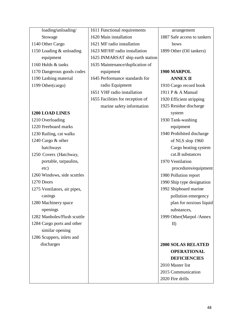| loading/unloading/           | 1611 Functional requirements     | arrangement                 |
|------------------------------|----------------------------------|-----------------------------|
| Stowage                      | 1620 Main installation           | 1887 Safe access to tankers |
| 1140 Other Cargo             | 1621 MF radio installation       | bows                        |
| 1150 Loading & unloading     | 1623 MF/HF radio installation    | 1899 Other (Oil tankers)    |
| equipment                    | 1625 INMARSAT ship earth station |                             |
| 1160 Holds & tanks           | 1635 Maintenance/duplication of  |                             |
| 1170 Dangerous goods codes   | equipment                        | 1900 MARPOL                 |
| 1190 Lashing material        | 1645 Performance standards for   | <b>ANNEX II</b>             |
| 1199 Other(cargo)            | radio Equipment                  | 1910 Cargo record book      |
|                              | 1651 VHF radio installation      | 1911 P & A Manual           |
|                              | 1655 Facilities for reception of | 1920 Efficient stripping    |
|                              | marine safety information        | 1925 Residue discharge      |
| <b>1200 LOAD LINES</b>       |                                  | system                      |
| 1210 Overloading             |                                  | 1930 Tank-washing           |
| 1220 Freeboard marks         |                                  | equipment                   |
| 1230 Railing, cat walks      |                                  | 1940 Prohibited discharge   |
| 1240 Cargo & other           |                                  | of NLS slop 1960            |
| hatchways                    |                                  | Cargo heating system        |
| 1250 Covers (Hatchway,       |                                  | cat.B substances            |
| portable, tarpaulins,        |                                  | 1970 Ventilation            |
| etc)                         |                                  | procedures/equipment        |
| 1260 Windows, side scuttles  |                                  | 1980 Pollution report       |
| 1270 Doors                   |                                  | 1990 Ship type designation  |
| 1275 Ventilators, air pipes, |                                  | 1992 Shipboard marine       |
| casings                      |                                  | pollution emergency         |
| 1280 Machinery space         |                                  | plan for noxious liquid     |
| openings                     |                                  | substances,                 |
| 1282 Manholes/Flush scuttle  |                                  | 1999 Other (Marpol / Annex  |
| 1284 Cargo ports and other   |                                  | $\mathbf{I}$                |
| similar opening              |                                  |                             |
| 1286 Scuppers, inlets and    |                                  |                             |
| discharges                   |                                  | <b>2000 SOLAS RELATED</b>   |
|                              |                                  | <b>OPERATIONAL</b>          |
|                              |                                  | <b>DEFICIENCIES</b>         |
|                              |                                  | 2010 Master list            |
|                              |                                  | 2015 Communication          |
|                              |                                  | 2020 Fire drills            |
|                              |                                  |                             |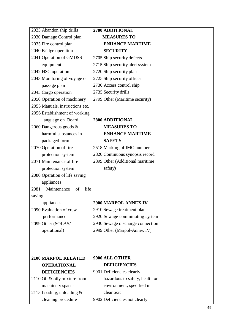| 2025 Abandon ship drills          | 2700 ADDITIONAL                  |  |
|-----------------------------------|----------------------------------|--|
| 2030 Damage Control plan          | <b>MEASURES TO</b>               |  |
| 2035 Fire control plan            | <b>ENHANCE MARTIME</b>           |  |
| 2040 Bridge operation             | <b>SECURITY</b>                  |  |
| 2041 Operation of GMDSS           | 2705 Ship security defects       |  |
| equipment                         | 2715 Ship security alert system  |  |
| 2042 HSC operation                | 2720 Ship security plan          |  |
| 2043 Monitoring of voyage or      | 2725 Ship security officer       |  |
| passage plan                      | 2730 Access control ship         |  |
| 2045 Cargo operation              | 2735 Security drills             |  |
| 2050 Operation of machinery       | 2799 Other (Maritime security)   |  |
| 2055 Manuals, instructions etc.   |                                  |  |
| 2056 Establishment of working     |                                  |  |
| language on Board                 | 2800 ADDITIONAL                  |  |
| 2060 Dangerous goods &            | <b>MEASURES TO</b>               |  |
| harmful substances in             | <b>ENHANCE MARTIME</b>           |  |
| packaged form                     | <b>SAFETY</b>                    |  |
| 2070 Operation of fire            | 2518 Marking of IMO number       |  |
| protection system                 | 2820 Continuous synopsis record  |  |
| 2071 Maintenance of fire          | 2899 Other (Additional maritime  |  |
| protection system                 | safety)                          |  |
| 2080 Operation of life saving     |                                  |  |
| appliances                        |                                  |  |
| 2081<br>Maintenance<br>life<br>of |                                  |  |
| saving                            |                                  |  |
| appliances                        | 2900 MARPOL ANNEX IV             |  |
| 2090 Evaluation of crew           | 2910 Sewage treatment plan       |  |
| performance                       | 2920 Sewage comminuting system   |  |
| 2099 Other (SOLAS/                | 2930 Sewage discharge connection |  |
| operational)                      | 2999 Other (Marpol-Annex IV)     |  |
|                                   |                                  |  |
|                                   |                                  |  |
|                                   |                                  |  |
| <b>2100 MARPOL RELATED</b>        | 9900 ALL OTHER                   |  |
| <b>OPERATIONAL</b>                | <b>DEFICIENCIES</b>              |  |
| <b>DEFICIENCIES</b>               | 9901 Deficiencies clearly        |  |
| 2110 Oil & oily mixture from      | hazardous to safety, health or   |  |
| machinery spaces                  | environment, specified in        |  |
| 2115 Loading, unloading $&$       | clear text                       |  |
| cleaning procedure                | 9902 Deficiencies not clearly    |  |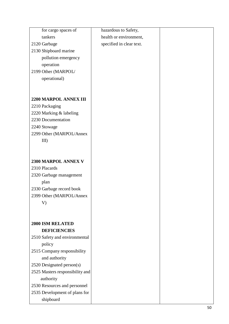| for cargo spaces of             | hazardous to Safety,     |    |
|---------------------------------|--------------------------|----|
| tankers                         | health or environment,   |    |
| 2120 Garbage                    | specified in clear text. |    |
| 2130 Shipboard marine           |                          |    |
| pollution emergency             |                          |    |
| operation                       |                          |    |
| 2199 Other (MARPOL/             |                          |    |
| operational)                    |                          |    |
|                                 |                          |    |
|                                 |                          |    |
| 2200 MARPOL ANNEX III           |                          |    |
| 2210 Packaging                  |                          |    |
| 2220 Marking & labeling         |                          |    |
| 2230 Documentation              |                          |    |
| 2240 Stowage                    |                          |    |
| 2299 Other (MARPOL/Annex        |                          |    |
| $III$ )                         |                          |    |
|                                 |                          |    |
| 2300 MARPOL ANNEX V             |                          |    |
| 2310 Placards                   |                          |    |
| 2320 Garbage management         |                          |    |
| plan                            |                          |    |
| 2330 Garbage record book        |                          |    |
| 2399 Other (MARPOL/Annex        |                          |    |
| V)                              |                          |    |
|                                 |                          |    |
| <b>2000 ISM RELATED</b>         |                          |    |
| <b>DEFICIENCIES</b>             |                          |    |
| 2510 Safety and environmental   |                          |    |
| policy                          |                          |    |
| 2515 Company responsibility     |                          |    |
| and authority                   |                          |    |
| 2520 Designated person(s)       |                          |    |
| 2525 Masters responsibility and |                          |    |
| authority                       |                          |    |
| 2530 Resources and personnel    |                          |    |
| 2535 Development of plans for   |                          |    |
| shipboard                       |                          |    |
|                                 |                          | 50 |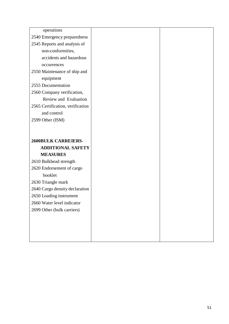| operations                       |  |
|----------------------------------|--|
| 2540 Emergency preparedness      |  |
| 2545 Reports and analysis of     |  |
| non-conformities,                |  |
| accidents and hazardous          |  |
| occurrences                      |  |
| 2550 Maintenance of ship and     |  |
| equipment                        |  |
| 2555 Documentation               |  |
| 2560 Company verification,       |  |
| Review and Evaluation            |  |
| 2565 Certification, verification |  |
| and control                      |  |
| 2599 Other (ISM)                 |  |
|                                  |  |
|                                  |  |
| <b>2600BULK CARREIERS-</b>       |  |
|                                  |  |
| <b>ADDITIONAL SAFETY</b>         |  |
| <b>MEASURES</b>                  |  |
| 2610 Bulkhead strength           |  |
| 2620 Endorsement of cargo        |  |
| booklet                          |  |
| 2630 Triangle mark               |  |
| 2640 Cargo density declaration   |  |
| 2650 Loading instrument          |  |
| 2660 Water level indicator       |  |
| 2699 Other (bulk carriers)       |  |
|                                  |  |
|                                  |  |
|                                  |  |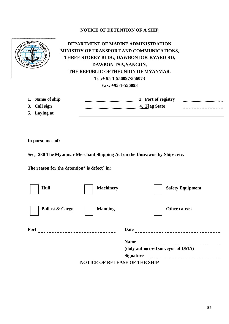### **NOTICE OF DETENTION OF A SHIP**



**DEPARTMENT OF MARINE ADMINISTRATION MINISTRY OF TRANSPORT AND COMMUNICATIONS, THREE STOREY BLDG, DAWBON DOCKYARD RD, DAWBON TSP.,YANGON, THE REPUBLIC OFTHEUNION OF MYANMAR. Tel:+ 95-1-556097/556073 Fax: +95-1-556093**

- 
- 
- **5. Laying at**

**1. Name of ship 2. Port of registry** ..................................... **3. Call sign 4. Flag State** - - - - - - - - - - - -

**In pursuance of:**

**Sec; 230 The Myanmar Merchant Shipping Act on the Unseaworthy Ships; etc.** 

**The reason for the detention\* is defect <sup>+</sup> in:**

| Hull                                 | <b>Machinery</b> | <b>Safety Equipment</b>           |
|--------------------------------------|------------------|-----------------------------------|
| <b>Ballast &amp; Cargo</b>           | <b>Manning</b>   | <b>Other causes</b>               |
| Port                                 |                  | <b>Date</b>                       |
|                                      |                  | <b>Name</b>                       |
|                                      |                  | (duly authorised surveyor of DMA) |
|                                      |                  | <b>Signature</b>                  |
| <b>NOTICE OF RELEASE OF THE SHIP</b> |                  |                                   |